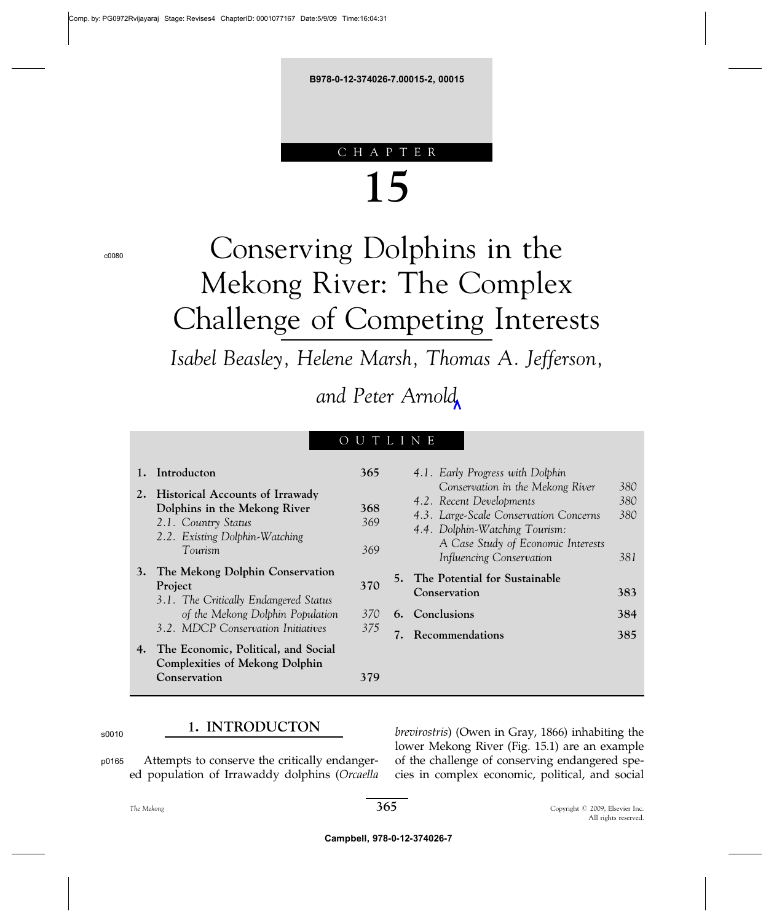# CHAPTER 15

# <sub>coso</sub> Conserving Dolphins in the Mekong River: The Complex Challenge of Competing Interests

Isabel Beasley, Helene Marsh, Thomas A. Jefferson,

and Peter Arnold

# OUTLINE

|    | Introducton                                                                                                                            | 365               | 4.1. Early Progress with Dolphin<br>Conservation in the Mekong River                                                                                                          | 380               |
|----|----------------------------------------------------------------------------------------------------------------------------------------|-------------------|-------------------------------------------------------------------------------------------------------------------------------------------------------------------------------|-------------------|
|    | 2. Historical Accounts of Irrawady<br>Dolphins in the Mekong River<br>2.1. Country Status<br>2.2. Existing Dolphin-Watching<br>Tourism | 368<br>369<br>369 | 4.2. Recent Developments<br>4.3. Large-Scale Conservation Concerns<br>4.4. Dolphin-Watching Tourism:<br>A Case Study of Economic Interests<br><b>Influencing Conservation</b> | 380<br>380<br>381 |
| 3. | The Mekong Dolphin Conservation<br>Project<br>3.1. The Critically Endangered Status                                                    | 370               | 5. The Potential for Sustainable<br>Conservation                                                                                                                              | 383               |
|    | of the Mekong Dolphin Population                                                                                                       | 370               | 6. Conclusions                                                                                                                                                                | 384               |
|    | 3.2. MDCP Conservation Initiatives<br>4. The Economic, Political, and Social<br>Complexities of Mekong Dolphin<br>Conservation         | 375<br>379        | Recommendations                                                                                                                                                               | 385               |

# s0010 1. INTRODUCTON

p0165 Attempts to conserve the critically endangered population of Irrawaddy dolphins (Orcaella

brevirostris) (Owen in Gray, 1866) inhabiting the lower Mekong River (Fig. 15.1) are an example of the challenge of conserving endangered species in complex economic, political, and social

Campbell, 978-0-12-374026-7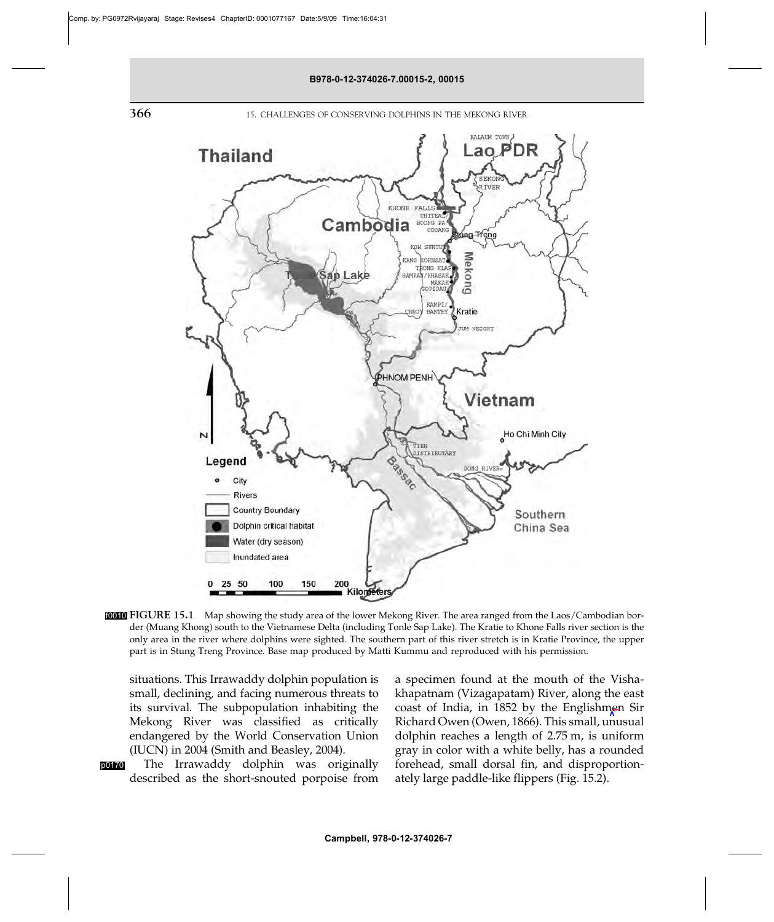

f0010 FIGURE 15.1 Map showing the study area of the lower Mekong River. The area ranged from the Laos/Cambodian border (Muang Khong) south to the Vietnamese Delta (including Tonle Sap Lake). The Kratie to Khone Falls river section is the only area in the river where dolphins were sighted. The southern part of this river stretch is in Kratie Province, the upper part is in Stung Treng Province. Base map produced by Matti Kummu and reproduced with his permission.

situations. This Irrawaddy dolphin population is small, declining, and facing numerous threats to its survival. The subpopulation inhabiting the Mekong River was classified as critically endangered by the World Conservation Union (IUCN) in 2004 (Smith and Beasley, 2004).

p0170 The Irrawaddy dolphin was originally described as the short-snouted porpoise from a specimen found at the mouth of the Vishakhapatnam (Vizagapatam) River, along the east coast of India, in 1852 by the Englishmen Sir Richard Owen (Owen, 1866). This small, unusual dolphin reaches a length of 2.75 m, is uniform gray in color with a white belly, has a rounded forehead, small dorsal fin, and disproportionately large paddle-like flippers (Fig. 15.2).

 $366$  15. CHALLENGES OF CONSERVING DOLPHINS IN THE MEKONG RIVER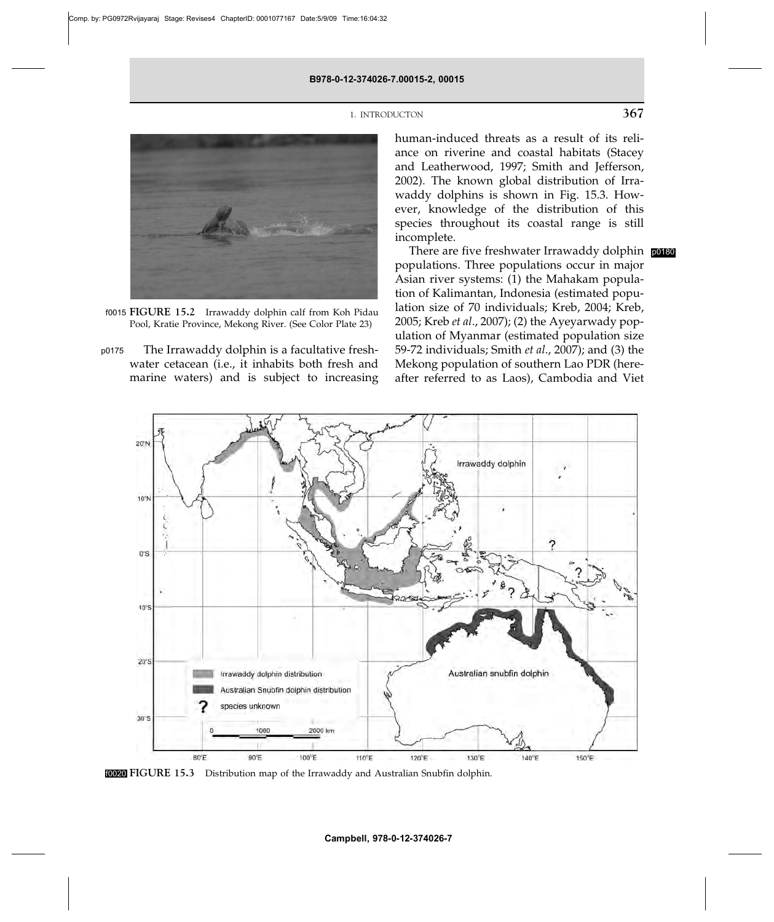#### 1. INTRODUCTON 367



f0015 FIGURE 15.2 Irrawaddy dolphin calf from Koh Pidau Pool, Kratie Province, Mekong River. (See Color Plate 23)

p0175 The Irrawaddy dolphin is a facultative freshwater cetacean (i.e., it inhabits both fresh and marine waters) and is subject to increasing human-induced threats as a result of its reliance on riverine and coastal habitats (Stacey and Leatherwood, 1997; Smith and Jefferson, 2002). The known global distribution of Irrawaddy dolphins is shown in Fig. 15.3. However, knowledge of the distribution of this species throughout its coastal range is still incomplete.

There are five freshwater Irrawaddy dolphin p0180 populations. Three populations occur in major Asian river systems: (1) the Mahakam population of Kalimantan, Indonesia (estimated population size of 70 individuals; Kreb, 2004; Kreb, 2005; Kreb et al., 2007); (2) the Ayeyarwady population of Myanmar (estimated population size 59-72 individuals; Smith et al., 2007); and (3) the Mekong population of southern Lao PDR (hereafter referred to as Laos), Cambodia and Viet



f0020 FIGURE 15.3 Distribution map of the Irrawaddy and Australian Snubfin dolphin.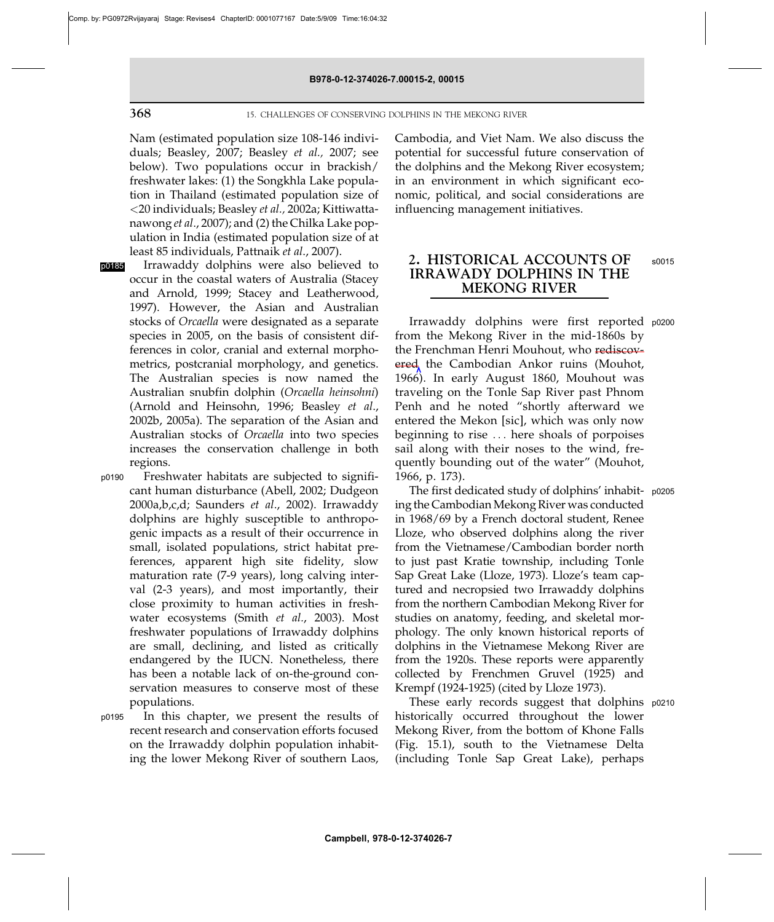#### $368$  15. CHALLENGES OF CONSERVING DOLPHINS IN THE MEKONG RIVER

Nam (estimated population size 108-146 individuals; Beasley, 2007; Beasley et al., 2007; see below). Two populations occur in brackish/ freshwater lakes: (1) the Songkhla Lake population in Thailand (estimated population size of <20 individuals; Beasley et al., 2002a; Kittiwattanawong et al., 2007); and (2) the Chilka Lake population in India (estimated population size of at least 85 individuals, Pattnaik et al., 2007).

- p0185 Irrawaddy dolphins were also believed to occur in the coastal waters of Australia (Stacey and Arnold, 1999; Stacey and Leatherwood, 1997). However, the Asian and Australian stocks of Orcaella were designated as a separate species in 2005, on the basis of consistent differences in color, cranial and external morphometrics, postcranial morphology, and genetics. The Australian species is now named the Australian snubfin dolphin (Orcaella heinsohni) (Arnold and Heinsohn, 1996; Beasley et al., 2002b, 2005a). The separation of the Asian and Australian stocks of Orcaella into two species increases the conservation challenge in both regions.
- p0190 Freshwater habitats are subjected to significant human disturbance (Abell, 2002; Dudgeon 2000a,b,c,d; Saunders et al., 2002). Irrawaddy dolphins are highly susceptible to anthropogenic impacts as a result of their occurrence in small, isolated populations, strict habitat preferences, apparent high site fidelity, slow maturation rate (7-9 years), long calving interval (2-3 years), and most importantly, their close proximity to human activities in freshwater ecosystems (Smith et al., 2003). Most freshwater populations of Irrawaddy dolphins are small, declining, and listed as critically endangered by the IUCN. Nonetheless, there has been a notable lack of on-the-ground conservation measures to conserve most of these populations.
- p0195 In this chapter, we present the results of recent research and conservation efforts focused on the Irrawaddy dolphin population inhabiting the lower Mekong River of southern Laos,

Cambodia, and Viet Nam. We also discuss the potential for successful future conservation of the dolphins and the Mekong River ecosystem; in an environment in which significant economic, political, and social considerations are influencing management initiatives.

# 2. HISTORICAL ACCOUNTS OF s0015 IRRAWADY DOLPHINS IN THE MEKONG RIVER

Irrawaddy dolphins were first reported p0200 from the Mekong River in the mid-1860s by the Frenchman Henri Mouhout, who rediscovered the Cambodian Ankor ruins (Mouhot, 1966). In early August 1860, Mouhout was traveling on the Tonle Sap River past Phnom Penh and he noted "shortly afterward we entered the Mekon [sic], which was only now beginning to rise ... here shoals of porpoises sail along with their noses to the wind, frequently bounding out of the water" (Mouhot, 1966, p. 173).

The first dedicated study of dolphins' inhabit- p0205 ing the Cambodian Mekong River was conducted in 1968/69 by a French doctoral student, Renee Lloze, who observed dolphins along the river from the Vietnamese/Cambodian border north to just past Kratie township, including Tonle Sap Great Lake (Lloze, 1973). Lloze's team captured and necropsied two Irrawaddy dolphins from the northern Cambodian Mekong River for studies on anatomy, feeding, and skeletal morphology. The only known historical reports of dolphins in the Vietnamese Mekong River are from the 1920s. These reports were apparently collected by Frenchmen Gruvel (1925) and Krempf (1924-1925) (cited by Lloze 1973).

These early records suggest that dolphins p0210 historically occurred throughout the lower Mekong River, from the bottom of Khone Falls (Fig. 15.1), south to the Vietnamese Delta (including Tonle Sap Great Lake), perhaps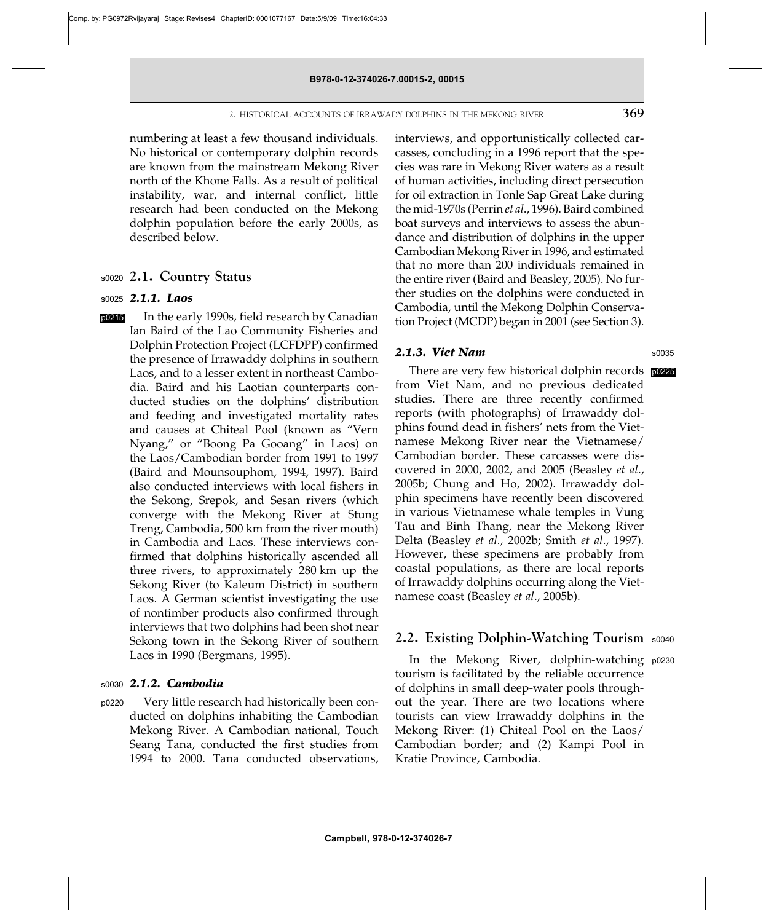numbering at least a few thousand individuals. No historical or contemporary dolphin records are known from the mainstream Mekong River north of the Khone Falls. As a result of political instability, war, and internal conflict, little research had been conducted on the Mekong dolphin population before the early 2000s, as described below.

### s0020 2.1. Country Status

#### s0025 2.1.1. Laos

p0215 In the early 1990s, field research by Canadian Ian Baird of the Lao Community Fisheries and Dolphin Protection Project (LCFDPP) confirmed the presence of Irrawaddy dolphins in southern Laos, and to a lesser extent in northeast Cambodia. Baird and his Laotian counterparts conducted studies on the dolphins' distribution and feeding and investigated mortality rates and causes at Chiteal Pool (known as "Vern Nyang," or "Boong Pa Gooang" in Laos) on the Laos/Cambodian border from 1991 to 1997 (Baird and Mounsouphom, 1994, 1997). Baird also conducted interviews with local fishers in the Sekong, Srepok, and Sesan rivers (which converge with the Mekong River at Stung Treng, Cambodia, 500 km from the river mouth) in Cambodia and Laos. These interviews confirmed that dolphins historically ascended all three rivers, to approximately 280 km up the Sekong River (to Kaleum District) in southern Laos. A German scientist investigating the use of nontimber products also confirmed through interviews that two dolphins had been shot near Sekong town in the Sekong River of southern Laos in 1990 (Bergmans, 1995).

### s0030 2.1.2. Cambodia

p0220 Very little research had historically been conducted on dolphins inhabiting the Cambodian Mekong River. A Cambodian national, Touch Seang Tana, conducted the first studies from 1994 to 2000. Tana conducted observations,

interviews, and opportunistically collected carcasses, concluding in a 1996 report that the species was rare in Mekong River waters as a result of human activities, including direct persecution for oil extraction in Tonle Sap Great Lake during the mid-1970s (Perrin et al., 1996). Baird combined boat surveys and interviews to assess the abundance and distribution of dolphins in the upper Cambodian Mekong River in 1996, and estimated that no more than 200 individuals remained in the entire river (Baird and Beasley, 2005). No further studies on the dolphins were conducted in Cambodia, until the Mekong Dolphin Conservation Project (MCDP) began in 2001 (see Section 3).

### **2.1.3. Viet Nam s0035**

There are very few historical dolphin records **p0225** from Viet Nam, and no previous dedicated studies. There are three recently confirmed reports (with photographs) of Irrawaddy dolphins found dead in fishers' nets from the Vietnamese Mekong River near the Vietnamese/ Cambodian border. These carcasses were discovered in 2000, 2002, and 2005 (Beasley et al., 2005b; Chung and Ho, 2002). Irrawaddy dolphin specimens have recently been discovered in various Vietnamese whale temples in Vung Tau and Binh Thang, near the Mekong River Delta (Beasley et al., 2002b; Smith et al., 1997). However, these specimens are probably from coastal populations, as there are local reports of Irrawaddy dolphins occurring along the Vietnamese coast (Beasley et al., 2005b).

#### 2.2. Existing Dolphin-Watching Tourism s0040

In the Mekong River, dolphin-watching p0230 tourism is facilitated by the reliable occurrence of dolphins in small deep-water pools throughout the year. There are two locations where tourists can view Irrawaddy dolphins in the Mekong River: (1) Chiteal Pool on the Laos/ Cambodian border; and (2) Kampi Pool in Kratie Province, Cambodia.

Campbell, 978-0-12-374026-7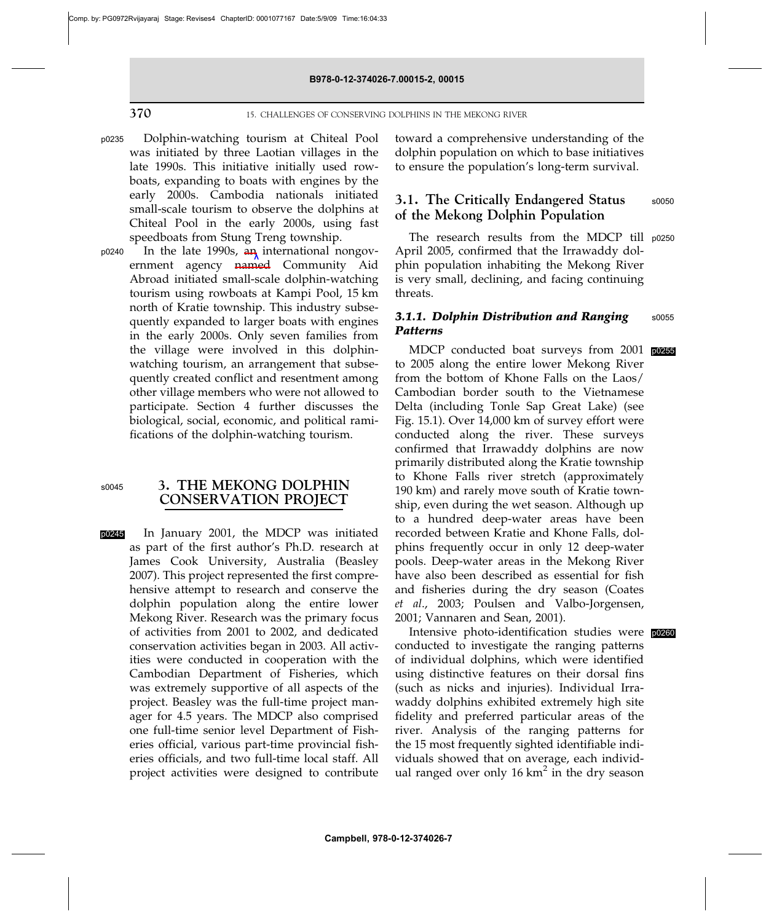370 15. CHALLENGES OF CONSERVING DOLPHINS IN THE MEKONG RIVER

- p0235 Dolphin-watching tourism at Chiteal Pool was initiated by three Laotian villages in the late 1990s. This initiative initially used rowboats, expanding to boats with engines by the early 2000s. Cambodia nationals initiated small-scale tourism to observe the dolphins at Chiteal Pool in the early 2000s, using fast speedboats from Stung Treng township.
- p0240 In the late 1990s, an international nongovernment agency named Community Aid Abroad initiated small-scale dolphin-watching tourism using rowboats at Kampi Pool, 15 km north of Kratie township. This industry subsequently expanded to larger boats with engines in the early 2000s. Only seven families from the village were involved in this dolphinwatching tourism, an arrangement that subsequently created conflict and resentment among other village members who were not allowed to participate. Section 4 further discusses the biological, social, economic, and political ramifications of the dolphin-watching tourism.

# s0045 3. THE MEKONG DOLPHIN CONSERVATION PROJECT

p0245 In January 2001, the MDCP was initiated as part of the first author's Ph.D. research at James Cook University, Australia (Beasley 2007). This project represented the first comprehensive attempt to research and conserve the dolphin population along the entire lower Mekong River. Research was the primary focus of activities from 2001 to 2002, and dedicated conservation activities began in 2003. All activities were conducted in cooperation with the Cambodian Department of Fisheries, which was extremely supportive of all aspects of the project. Beasley was the full-time project manager for 4.5 years. The MDCP also comprised one full-time senior level Department of Fisheries official, various part-time provincial fisheries officials, and two full-time local staff. All project activities were designed to contribute toward a comprehensive understanding of the dolphin population on which to base initiatives to ensure the population's long-term survival.

# 3.1. The Critically Endangered Status s0050 of the Mekong Dolphin Population

The research results from the MDCP till p0250 April 2005, confirmed that the Irrawaddy dolphin population inhabiting the Mekong River is very small, declining, and facing continuing threats.

# **3.1.1. Dolphin Distribution and Ranging** s0055 Patterns

MDCP conducted boat surveys from 2001 **p0255** to 2005 along the entire lower Mekong River from the bottom of Khone Falls on the Laos/ Cambodian border south to the Vietnamese Delta (including Tonle Sap Great Lake) (see Fig. 15.1). Over 14,000 km of survey effort were conducted along the river. These surveys confirmed that Irrawaddy dolphins are now primarily distributed along the Kratie township to Khone Falls river stretch (approximately 190 km) and rarely move south of Kratie township, even during the wet season. Although up to a hundred deep-water areas have been recorded between Kratie and Khone Falls, dolphins frequently occur in only 12 deep-water pools. Deep-water areas in the Mekong River have also been described as essential for fish and fisheries during the dry season (Coates et al., 2003; Poulsen and Valbo-Jorgensen, 2001; Vannaren and Sean, 2001).

Intensive photo-identification studies were p0260 conducted to investigate the ranging patterns of individual dolphins, which were identified using distinctive features on their dorsal fins (such as nicks and injuries). Individual Irrawaddy dolphins exhibited extremely high site fidelity and preferred particular areas of the river. Analysis of the ranging patterns for the 15 most frequently sighted identifiable individuals showed that on average, each individual ranged over only  $16 \text{ km}^2$  in the dry season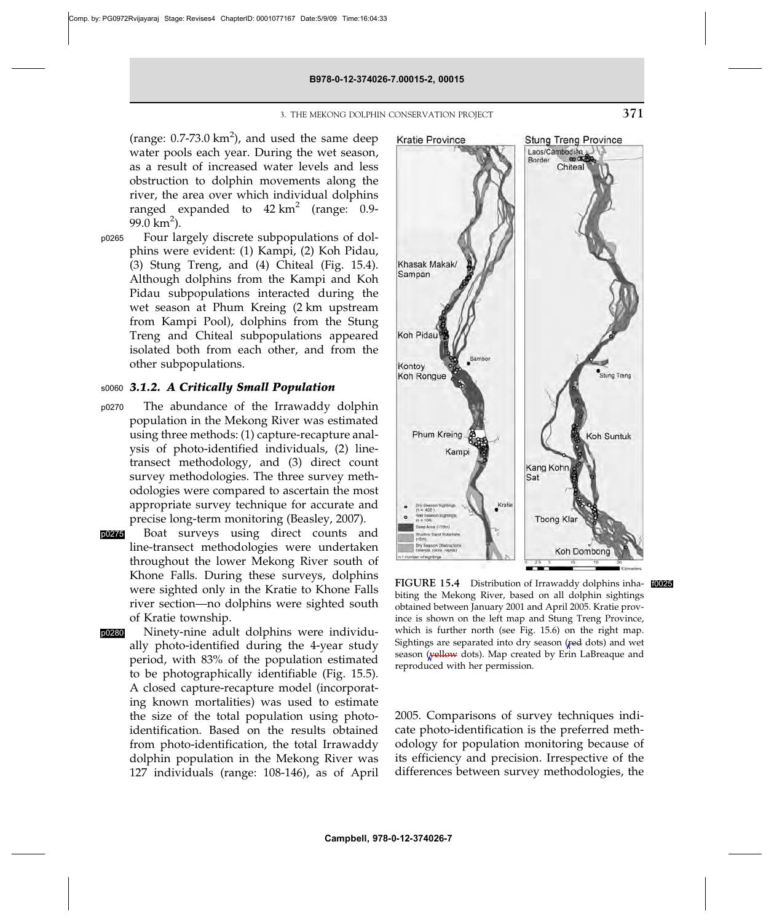(range:  $0.7$ -73.0 km<sup>2</sup>), and used the same deep water pools each year. During the wet season, as a result of increased water levels and less obstruction to dolphin movements along the river, the area over which individual dolphins ranged expanded to  $42 \text{ km}^2$  (range: 0.9- $99.0 \text{ km}^2$ ).

p0265 Four largely discrete subpopulations of dolphins were evident: (1) Kampi, (2) Koh Pidau, (3) Stung Treng, and (4) Chiteal (Fig. 15.4). Although dolphins from the Kampi and Koh Pidau subpopulations interacted during the wet season at Phum Kreing (2 km upstream from Kampi Pool), dolphins from the Stung Treng and Chiteal subpopulations appeared isolated both from each other, and from the other subpopulations.

#### s0060 3.1.2. A Critically Small Population

- p0270 The abundance of the Irrawaddy dolphin population in the Mekong River was estimated using three methods: (1) capture-recapture analysis of photo-identified individuals, (2) linetransect methodology, and (3) direct count survey methodologies. The three survey methodologies were compared to ascertain the most appropriate survey technique for accurate and precise long-term monitoring (Beasley, 2007).
- p0275 Boat surveys using direct counts and line-transect methodologies were undertaken throughout the lower Mekong River south of Khone Falls. During these surveys, dolphins were sighted only in the Kratie to Khone Falls river section—no dolphins were sighted south of Kratie township.
- p0280 Ninety-nine adult dolphins were individually photo-identified during the 4-year study period, with 83% of the population estimated to be photographically identifiable (Fig. 15.5). A closed capture-recapture model (incorporating known mortalities) was used to estimate the size of the total population using photoidentification. Based on the results obtained from photo-identification, the total Irrawaddy dolphin population in the Mekong River was 127 individuals (range: 108-146), as of April



FIGURE 15.4 Distribution of Irrawaddy dolphins inhabiting the Mekong River, based on all dolphin sightings obtained between January 2001 and April 2005. Kratie province is shown on the left map and Stung Treng Province, which is further north (see Fig. 15.6) on the right map. Sightings are separated into dry season (red dots) and wet season (yellow dots). Map created by Erin LaBreaque and reproduced with her permission.

2005. Comparisons of survey techniques indicate photo-identification is the preferred methodology for population monitoring because of its efficiency and precision. Irrespective of the differences between survey methodologies, the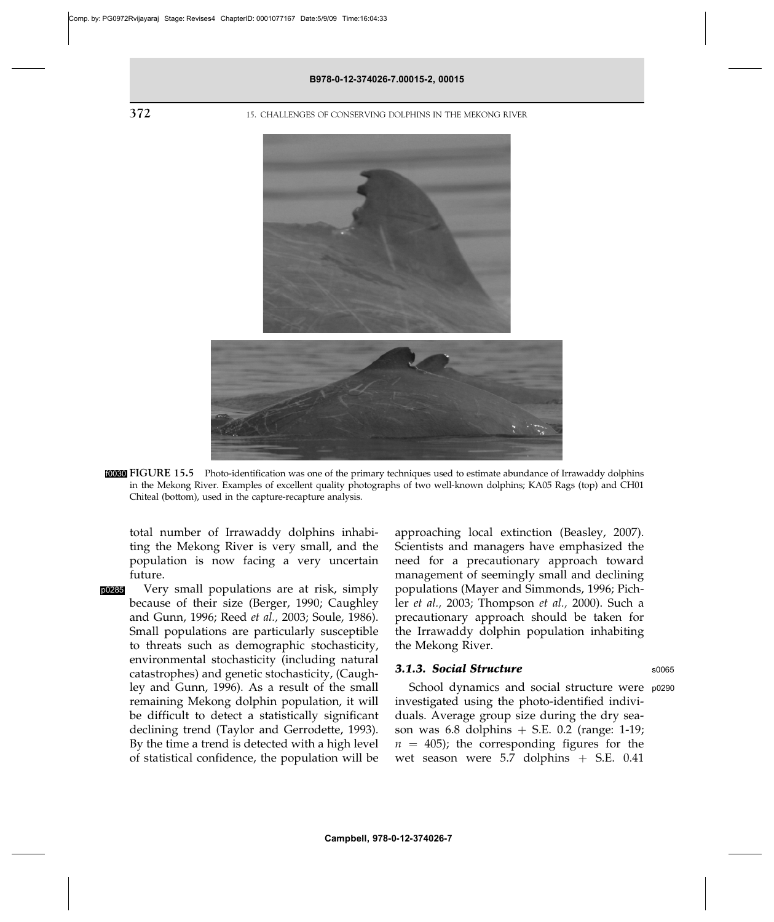#### 372 15. CHALLENGES OF CONSERVING DOLPHINS IN THE MEKONG RIVER



**FORE 15.5** Photo-identification was one of the primary techniques used to estimate abundance of Irrawaddy dolphins in the Mekong River. Examples of excellent quality photographs of two well-known dolphins; KA05 Rags (top) and CH01 Chiteal (bottom), used in the capture-recapture analysis.

total number of Irrawaddy dolphins inhabiting the Mekong River is very small, and the population is now facing a very uncertain future.

p0285 Very small populations are at risk, simply because of their size (Berger, 1990; Caughley and Gunn, 1996; Reed et al., 2003; Soule, 1986). Small populations are particularly susceptible to threats such as demographic stochasticity, environmental stochasticity (including natural catastrophes) and genetic stochasticity, (Caughley and Gunn, 1996). As a result of the small remaining Mekong dolphin population, it will be difficult to detect a statistically significant declining trend (Taylor and Gerrodette, 1993). By the time a trend is detected with a high level of statistical confidence, the population will be approaching local extinction (Beasley, 2007). Scientists and managers have emphasized the need for a precautionary approach toward management of seemingly small and declining populations (Mayer and Simmonds, 1996; Pichler et al., 2003; Thompson et al., 2000). Such a precautionary approach should be taken for the Irrawaddy dolphin population inhabiting the Mekong River.

### **3.1.3. Social Structure solution SCO65**

School dynamics and social structure were  $p0290$ investigated using the photo-identified individuals. Average group size during the dry season was  $6.8$  dolphins  $+$  S.E. 0.2 (range: 1-19;  $n = 405$ ; the corresponding figures for the wet season were  $5.7$  dolphins  $+$  S.E. 0.41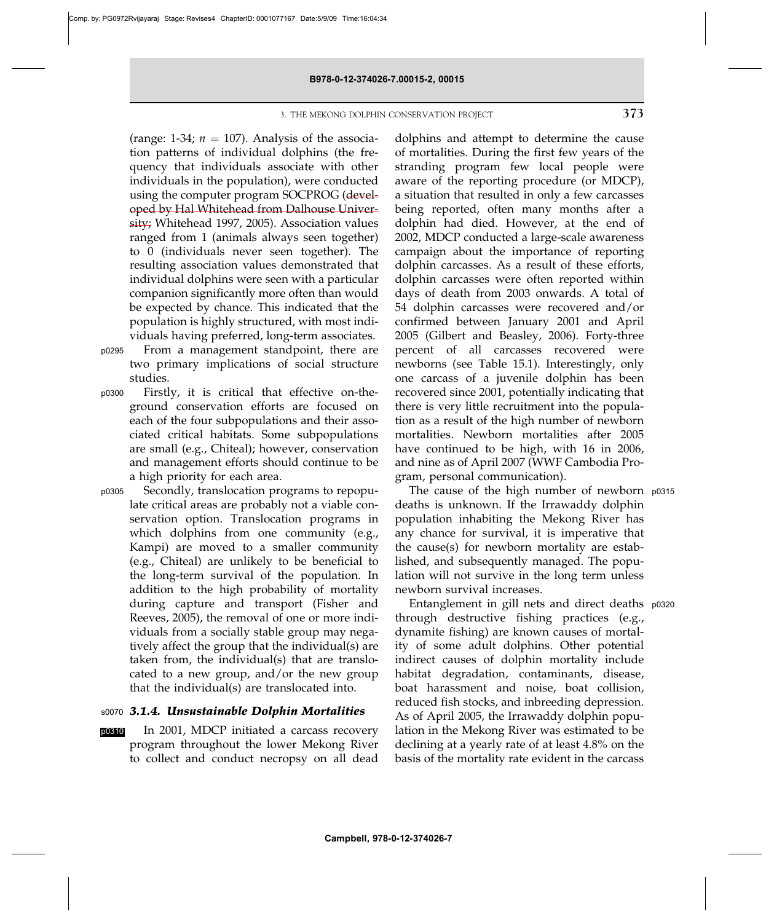3. THE MEKONG DOLPHIN CONSERVATION PROJECT  $373$ 

(range: 1-34;  $n = 107$ ). Analysis of the association patterns of individual dolphins (the frequency that individuals associate with other individuals in the population), were conducted using the computer program SOCPROG (developed by Hal Whitehead from Dalhouse University; Whitehead 1997, 2005). Association values ranged from 1 (animals always seen together) to 0 (individuals never seen together). The resulting association values demonstrated that individual dolphins were seen with a particular companion significantly more often than would be expected by chance. This indicated that the population is highly structured, with most individuals having preferred, long-term associates.

- p0295 From a management standpoint, there are two primary implications of social structure studies.
- p0300 Firstly, it is critical that effective on-theground conservation efforts are focused on each of the four subpopulations and their associated critical habitats. Some subpopulations are small (e.g., Chiteal); however, conservation and management efforts should continue to be a high priority for each area.
- p0305 Secondly, translocation programs to repopulate critical areas are probably not a viable conservation option. Translocation programs in which dolphins from one community (e.g., Kampi) are moved to a smaller community (e.g., Chiteal) are unlikely to be beneficial to the long-term survival of the population. In addition to the high probability of mortality during capture and transport (Fisher and Reeves, 2005), the removal of one or more individuals from a socially stable group may negatively affect the group that the individual(s) are taken from, the individual(s) that are translocated to a new group, and/or the new group that the individual(s) are translocated into.

#### s0070 3.1.4. Unsustainable Dolphin Mortalities

p0310 In 2001, MDCP initiated a carcass recovery program throughout the lower Mekong River to collect and conduct necropsy on all dead dolphins and attempt to determine the cause of mortalities. During the first few years of the stranding program few local people were aware of the reporting procedure (or MDCP), a situation that resulted in only a few carcasses being reported, often many months after a dolphin had died. However, at the end of 2002, MDCP conducted a large-scale awareness campaign about the importance of reporting dolphin carcasses. As a result of these efforts, dolphin carcasses were often reported within days of death from 2003 onwards. A total of 54 dolphin carcasses were recovered and/or confirmed between January 2001 and April 2005 (Gilbert and Beasley, 2006). Forty-three percent of all carcasses recovered were newborns (see Table 15.1). Interestingly, only one carcass of a juvenile dolphin has been recovered since 2001, potentially indicating that there is very little recruitment into the population as a result of the high number of newborn mortalities. Newborn mortalities after 2005 have continued to be high, with 16 in 2006, and nine as of April 2007 (WWF Cambodia Program, personal communication).

The cause of the high number of newborn p0315 deaths is unknown. If the Irrawaddy dolphin population inhabiting the Mekong River has any chance for survival, it is imperative that the cause(s) for newborn mortality are established, and subsequently managed. The population will not survive in the long term unless newborn survival increases.

Entanglement in gill nets and direct deaths p0320 through destructive fishing practices (e.g., dynamite fishing) are known causes of mortality of some adult dolphins. Other potential indirect causes of dolphin mortality include habitat degradation, contaminants, disease, boat harassment and noise, boat collision, reduced fish stocks, and inbreeding depression. As of April 2005, the Irrawaddy dolphin population in the Mekong River was estimated to be declining at a yearly rate of at least 4.8% on the basis of the mortality rate evident in the carcass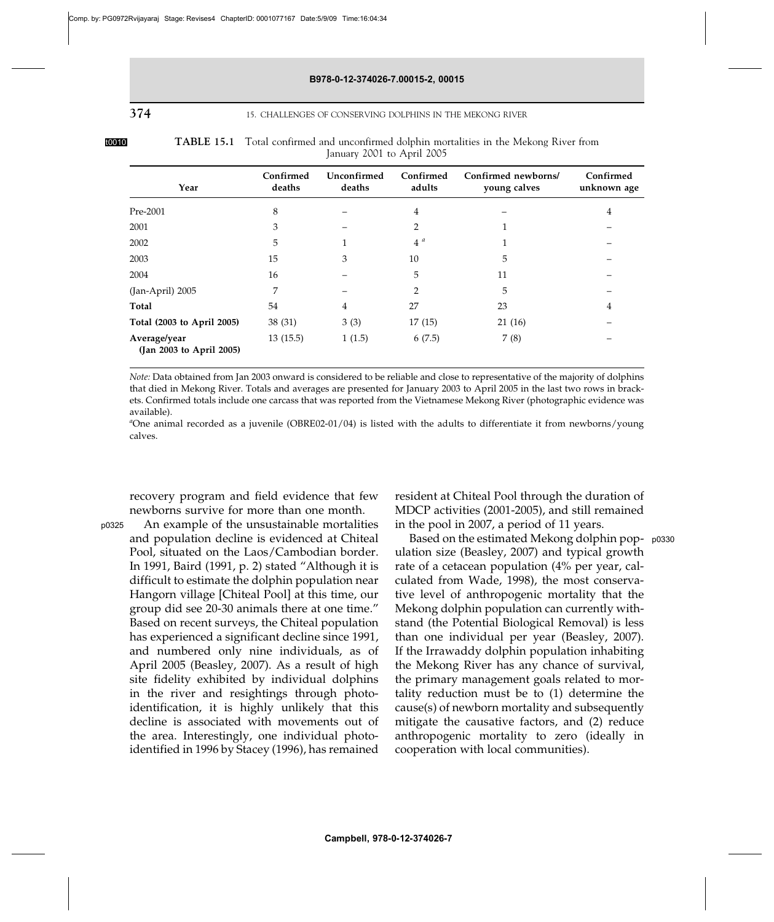#### 374 15. CHALLENGES OF CONSERVING DOLPHINS IN THE MEKONG RIVER

**t0010** TABLE 15.1 Total confirmed and unconfirmed dolphin mortalities in the Mekong River from January 2001 to April 2005

| Year                                     | Confirmed<br>deaths | Unconfirmed<br>deaths | Confirmed<br>adults | Confirmed newborns/<br>young calves | Confirmed<br>unknown age |
|------------------------------------------|---------------------|-----------------------|---------------------|-------------------------------------|--------------------------|
| Pre-2001                                 | 8                   |                       | 4                   |                                     | 4                        |
| 2001                                     | 3                   |                       | 2                   |                                     |                          |
| 2002                                     | 5                   |                       | 4 <sup>a</sup>      |                                     |                          |
| 2003                                     | 15                  | 3                     | 10                  | 5                                   |                          |
| 2004                                     | 16                  |                       | 5                   | 11                                  |                          |
| (Jan-April) 2005                         | 7                   |                       | 2                   | 5                                   |                          |
| Total                                    | 54                  | 4                     | 27                  | 23                                  | 4                        |
| Total (2003 to April 2005)               | 38 (31)             | 3(3)                  | 17(15)              | 21(16)                              |                          |
| Average/year<br>(Jan 2003 to April 2005) | 13(15.5)            | 1(1.5)                | 6(7.5)              | 7(8)                                |                          |

Note: Data obtained from Jan 2003 onward is considered to be reliable and close to representative of the majority of dolphins that died in Mekong River. Totals and averages are presented for January 2003 to April 2005 in the last two rows in brackets. Confirmed totals include one carcass that was reported from the Vietnamese Mekong River (photographic evidence was available).

a One animal recorded as a juvenile (OBRE02-01/04) is listed with the adults to differentiate it from newborns/young calves.

recovery program and field evidence that few newborns survive for more than one month.

p0325 An example of the unsustainable mortalities and population decline is evidenced at Chiteal Pool, situated on the Laos/Cambodian border. In 1991, Baird (1991, p. 2) stated "Although it is difficult to estimate the dolphin population near Hangorn village [Chiteal Pool] at this time, our group did see 20-30 animals there at one time." Based on recent surveys, the Chiteal population has experienced a significant decline since 1991, and numbered only nine individuals, as of April 2005 (Beasley, 2007). As a result of high site fidelity exhibited by individual dolphins in the river and resightings through photoidentification, it is highly unlikely that this decline is associated with movements out of the area. Interestingly, one individual photoidentified in 1996 by Stacey (1996), has remained resident at Chiteal Pool through the duration of MDCP activities (2001-2005), and still remained in the pool in 2007, a period of 11 years.

Based on the estimated Mekong dolphin pop- p0330 ulation size (Beasley, 2007) and typical growth rate of a cetacean population (4% per year, calculated from Wade, 1998), the most conservative level of anthropogenic mortality that the Mekong dolphin population can currently withstand (the Potential Biological Removal) is less than one individual per year (Beasley, 2007). If the Irrawaddy dolphin population inhabiting the Mekong River has any chance of survival, the primary management goals related to mortality reduction must be to (1) determine the cause(s) of newborn mortality and subsequently mitigate the causative factors, and (2) reduce anthropogenic mortality to zero (ideally in cooperation with local communities).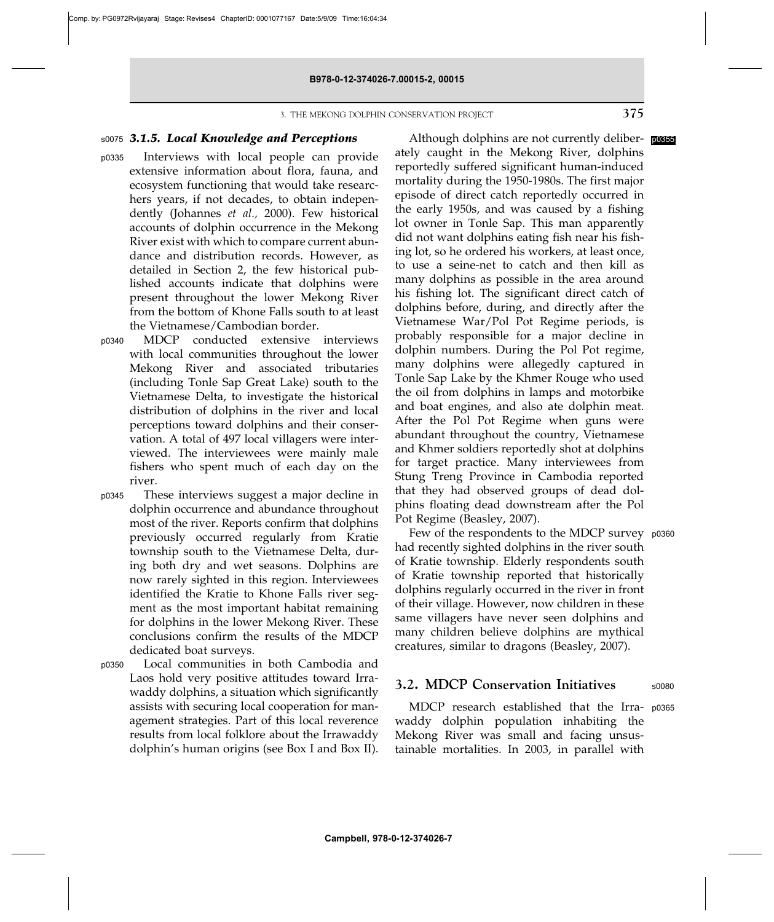3. THE MEKONG DOLPHIN CONSERVATION PROJECT  $375$ 

#### s0075 3.1.5. Local Knowledge and Perceptions

- p0335 Interviews with local people can provide extensive information about flora, fauna, and ecosystem functioning that would take researchers years, if not decades, to obtain independently (Johannes et al., 2000). Few historical accounts of dolphin occurrence in the Mekong River exist with which to compare current abundance and distribution records. However, as detailed in Section 2, the few historical published accounts indicate that dolphins were present throughout the lower Mekong River from the bottom of Khone Falls south to at least the Vietnamese/Cambodian border.
- p0340 MDCP conducted extensive interviews with local communities throughout the lower Mekong River and associated tributaries (including Tonle Sap Great Lake) south to the Vietnamese Delta, to investigate the historical distribution of dolphins in the river and local perceptions toward dolphins and their conservation. A total of 497 local villagers were interviewed. The interviewees were mainly male fishers who spent much of each day on the river.
- p0345 These interviews suggest a major decline in dolphin occurrence and abundance throughout most of the river. Reports confirm that dolphins previously occurred regularly from Kratie township south to the Vietnamese Delta, during both dry and wet seasons. Dolphins are now rarely sighted in this region. Interviewees identified the Kratie to Khone Falls river segment as the most important habitat remaining for dolphins in the lower Mekong River. These conclusions confirm the results of the MDCP dedicated boat surveys.
- p0350 Local communities in both Cambodia and Laos hold very positive attitudes toward Irrawaddy dolphins, a situation which significantly assists with securing local cooperation for management strategies. Part of this local reverence results from local folklore about the Irrawaddy dolphin's human origins (see Box I and Box II).

Although dolphins are not currently deliber- p0355 ately caught in the Mekong River, dolphins reportedly suffered significant human-induced mortality during the 1950-1980s. The first major episode of direct catch reportedly occurred in the early 1950s, and was caused by a fishing lot owner in Tonle Sap. This man apparently did not want dolphins eating fish near his fishing lot, so he ordered his workers, at least once, to use a seine-net to catch and then kill as many dolphins as possible in the area around his fishing lot. The significant direct catch of dolphins before, during, and directly after the Vietnamese War/Pol Pot Regime periods, is probably responsible for a major decline in dolphin numbers. During the Pol Pot regime, many dolphins were allegedly captured in Tonle Sap Lake by the Khmer Rouge who used the oil from dolphins in lamps and motorbike and boat engines, and also ate dolphin meat. After the Pol Pot Regime when guns were abundant throughout the country, Vietnamese and Khmer soldiers reportedly shot at dolphins for target practice. Many interviewees from Stung Treng Province in Cambodia reported that they had observed groups of dead dolphins floating dead downstream after the Pol Pot Regime (Beasley, 2007).

Few of the respondents to the MDCP survey p0360 had recently sighted dolphins in the river south of Kratie township. Elderly respondents south of Kratie township reported that historically dolphins regularly occurred in the river in front of their village. However, now children in these same villagers have never seen dolphins and many children believe dolphins are mythical creatures, similar to dragons (Beasley, 2007).

### 3.2. MDCP Conservation Initiatives s0080

MDCP research established that the Irra- p0365 waddy dolphin population inhabiting the Mekong River was small and facing unsustainable mortalities. In 2003, in parallel with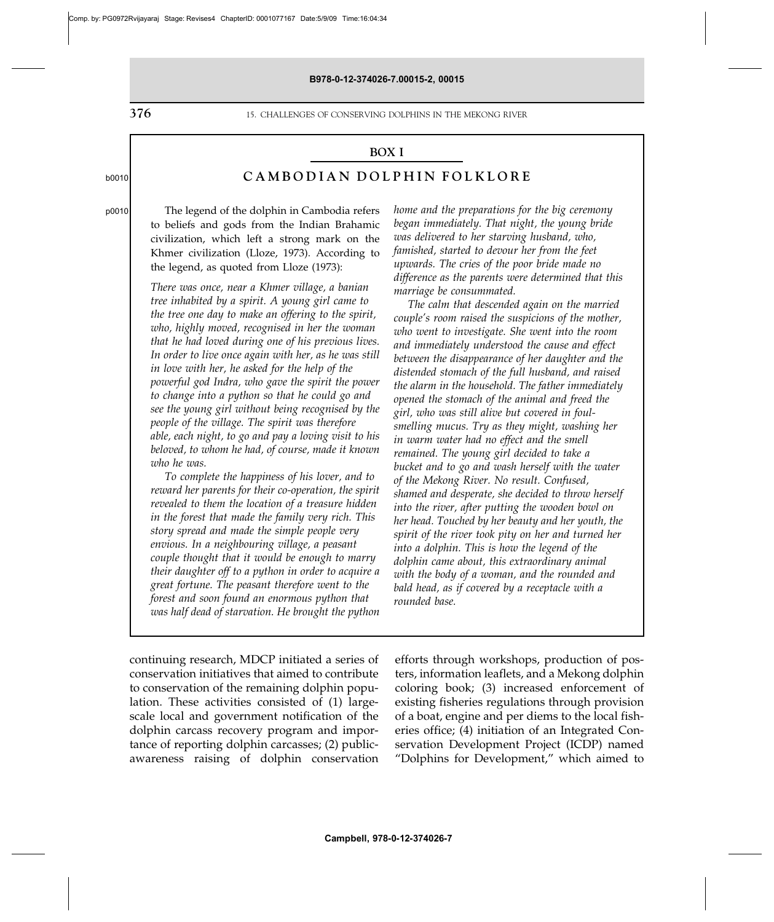#### $376$  15. CHALLENGES OF CONSERVING DOLPHINS IN THE MEKONG RIVER

### BOX I

# b0010 CAMBODIAN DOLPHIN FOLKLORE

p0010 The legend of the dolphin in Cambodia refers to beliefs and gods from the Indian Brahamic civilization, which left a strong mark on the Khmer civilization (Lloze, 1973). According to the legend, as quoted from Lloze (1973):

> There was once, near a Khmer village, a banian tree inhabited by a spirit. A young girl came to the tree one day to make an offering to the spirit, who, highly moved, recognised in her the woman that he had loved during one of his previous lives. In order to live once again with her, as he was still in love with her, he asked for the help of the powerful god Indra, who gave the spirit the power to change into a python so that he could go and see the young girl without being recognised by the people of the village. The spirit was therefore able, each night, to go and pay a loving visit to his beloved, to whom he had, of course, made it known who he was.

> To complete the happiness of his lover, and to reward her parents for their co-operation, the spirit revealed to them the location of a treasure hidden in the forest that made the family very rich. This story spread and made the simple people very envious. In a neighbouring village, a peasant couple thought that it would be enough to marry their daughter off to a python in order to acquire a great fortune. The peasant therefore went to the forest and soon found an enormous python that was half dead of starvation. He brought the python

home and the preparations for the big ceremony began immediately. That night, the young bride was delivered to her starving husband, who, famished, started to devour her from the feet upwards. The cries of the poor bride made no difference as the parents were determined that this marriage be consummated.

The calm that descended again on the married couple's room raised the suspicions of the mother, who went to investigate. She went into the room and immediately understood the cause and effect between the disappearance of her daughter and the distended stomach of the full husband, and raised the alarm in the household. The father immediately opened the stomach of the animal and freed the girl, who was still alive but covered in foulsmelling mucus. Try as they might, washing her in warm water had no effect and the smell remained. The young girl decided to take a bucket and to go and wash herself with the water of the Mekong River. No result. Confused, shamed and desperate, she decided to throw herself into the river, after putting the wooden bowl on her head. Touched by her beauty and her youth, the spirit of the river took pity on her and turned her into a dolphin. This is how the legend of the dolphin came about, this extraordinary animal with the body of a woman, and the rounded and bald head, as if covered by a receptacle with a rounded base.

continuing research, MDCP initiated a series of conservation initiatives that aimed to contribute to conservation of the remaining dolphin population. These activities consisted of (1) largescale local and government notification of the dolphin carcass recovery program and importance of reporting dolphin carcasses; (2) publicawareness raising of dolphin conservation

efforts through workshops, production of posters, information leaflets, and a Mekong dolphin coloring book; (3) increased enforcement of existing fisheries regulations through provision of a boat, engine and per diems to the local fisheries office; (4) initiation of an Integrated Conservation Development Project (ICDP) named "Dolphins for Development," which aimed to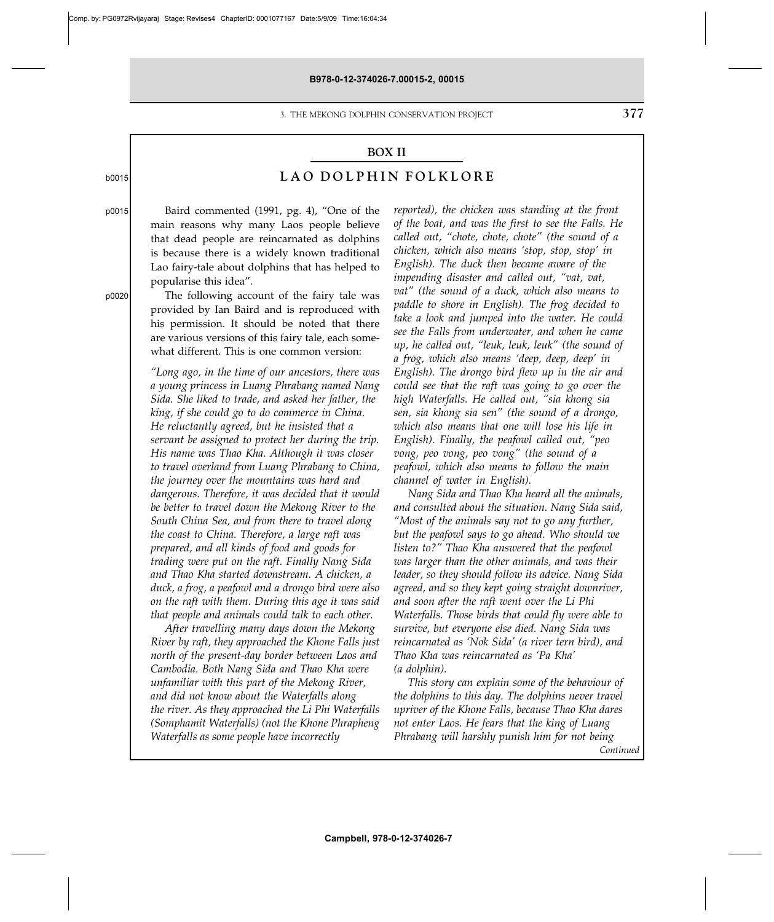3. THE MEKONG DOLPHIN CONSERVATION PROJECT 377

#### BOX II

# b0015 LAO DOLPHIN FOLKLORE

p0015 Baird commented (1991, pg. 4), "One of the main reasons why many Laos people believe that dead people are reincarnated as dolphins is because there is a widely known traditional Lao fairy-tale about dolphins that has helped to popularise this idea".

p0020 The following account of the fairy tale was provided by Ian Baird and is reproduced with his permission. It should be noted that there are various versions of this fairy tale, each somewhat different. This is one common version:

> "Long ago, in the time of our ancestors, there was a young princess in Luang Phrabang named Nang Sida. She liked to trade, and asked her father, the king, if she could go to do commerce in China. He reluctantly agreed, but he insisted that a servant be assigned to protect her during the trip. His name was Thao Kha. Although it was closer to travel overland from Luang Phrabang to China, the journey over the mountains was hard and dangerous. Therefore, it was decided that it would be better to travel down the Mekong River to the South China Sea, and from there to travel along the coast to China. Therefore, a large raft was prepared, and all kinds of food and goods for trading were put on the raft. Finally Nang Sida and Thao Kha started downstream. A chicken, a duck, a frog, a peafowl and a drongo bird were also on the raft with them. During this age it was said that people and animals could talk to each other.

> After travelling many days down the Mekong River by raft, they approached the Khone Falls just north of the present-day border between Laos and Cambodia. Both Nang Sida and Thao Kha were unfamiliar with this part of the Mekong River, and did not know about the Waterfalls along the river. As they approached the Li Phi Waterfalls (Somphamit Waterfalls) (not the Khone Phrapheng Waterfalls as some people have incorrectly

reported), the chicken was standing at the front of the boat, and was the first to see the Falls. He called out, "chote, chote, chote" (the sound of a chicken, which also means 'stop, stop, stop' in English). The duck then became aware of the impending disaster and called out, "vat, vat, vat" (the sound of a duck, which also means to paddle to shore in English). The frog decided to take a look and jumped into the water. He could see the Falls from underwater, and when he came up, he called out, "leuk, leuk, leuk" (the sound of a frog, which also means 'deep, deep, deep' in English). The drongo bird flew up in the air and could see that the raft was going to go over the high Waterfalls. He called out, "sia khong sia sen, sia khong sia sen" (the sound of a drongo, which also means that one will lose his life in English). Finally, the peafowl called out, "peo vong, peo vong, peo vong" (the sound of a peafowl, which also means to follow the main channel of water in English).

Nang Sida and Thao Kha heard all the animals, and consulted about the situation. Nang Sida said, "Most of the animals say not to go any further, but the peafowl says to go ahead. Who should we listen to?" Thao Kha answered that the peafowl was larger than the other animals, and was their leader, so they should follow its advice. Nang Sida agreed, and so they kept going straight downriver, and soon after the raft went over the Li Phi Waterfalls. Those birds that could fly were able to survive, but everyone else died. Nang Sida was reincarnated as 'Nok Sida' (a river tern bird), and Thao Kha was reincarnated as 'Pa Kha' (a dolphin).

This story can explain some of the behaviour of the dolphins to this day. The dolphins never travel upriver of the Khone Falls, because Thao Kha dares not enter Laos. He fears that the king of Luang Phrabang will harshly punish him for not being

Continued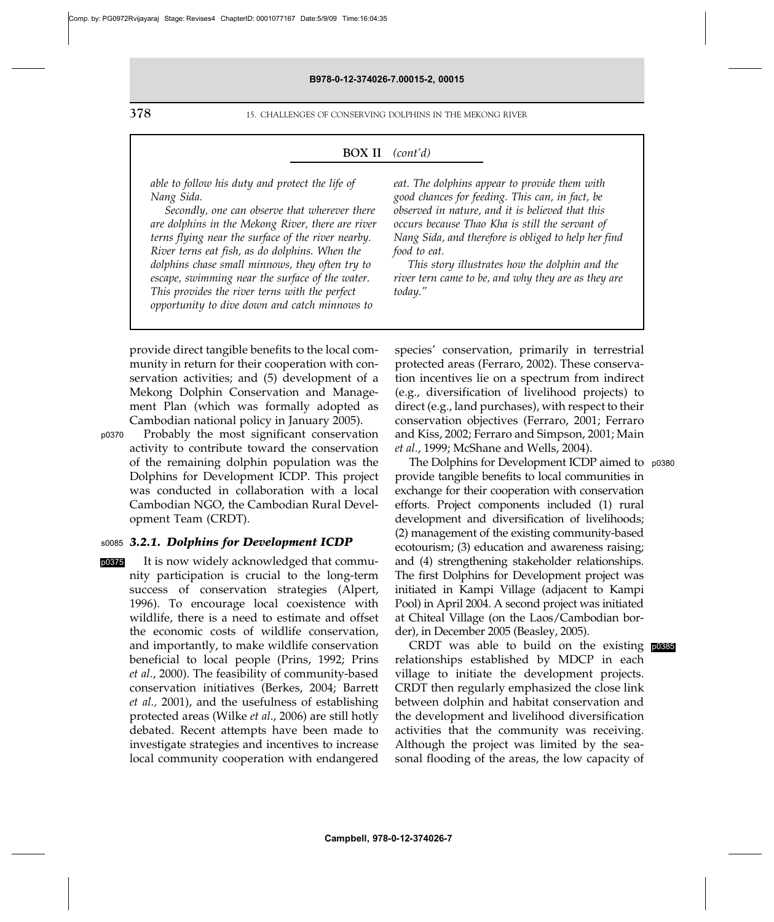#### $378$  15. CHALLENGES OF CONSERVING DOLPHINS IN THE MEKONG RIVER

#### BOX II (cont'd)

able to follow his duty and protect the life of Nang Sida.

Secondly, one can observe that wherever there are dolphins in the Mekong River, there are river terns flying near the surface of the river nearby. River terns eat fish, as do dolphins. When the dolphins chase small minnows, they often try to escape, swimming near the surface of the water. This provides the river terns with the perfect opportunity to dive down and catch minnows to

eat. The dolphins appear to provide them with good chances for feeding. This can, in fact, be observed in nature, and it is believed that this occurs because Thao Kha is still the servant of Nang Sida, and therefore is obliged to help her find food to eat.

This story illustrates how the dolphin and the river tern came to be, and why they are as they are today."

provide direct tangible benefits to the local community in return for their cooperation with conservation activities; and (5) development of a Mekong Dolphin Conservation and Management Plan (which was formally adopted as Cambodian national policy in January 2005).

p0370 Probably the most significant conservation activity to contribute toward the conservation of the remaining dolphin population was the Dolphins for Development ICDP. This project was conducted in collaboration with a local Cambodian NGO, the Cambodian Rural Development Team (CRDT).

#### s0085 3.2.1. Dolphins for Development ICDP

p0375 It is now widely acknowledged that community participation is crucial to the long-term success of conservation strategies (Alpert, 1996). To encourage local coexistence with wildlife, there is a need to estimate and offset the economic costs of wildlife conservation, and importantly, to make wildlife conservation beneficial to local people (Prins, 1992; Prins et al., 2000). The feasibility of community-based conservation initiatives (Berkes, 2004; Barrett et al., 2001), and the usefulness of establishing protected areas (Wilke et al., 2006) are still hotly debated. Recent attempts have been made to investigate strategies and incentives to increase local community cooperation with endangered species' conservation, primarily in terrestrial protected areas (Ferraro, 2002). These conservation incentives lie on a spectrum from indirect (e.g., diversification of livelihood projects) to direct (e.g., land purchases), with respect to their conservation objectives (Ferraro, 2001; Ferraro and Kiss, 2002; Ferraro and Simpson, 2001; Main et al., 1999; McShane and Wells, 2004).

The Dolphins for Development ICDP aimed to p0380 provide tangible benefits to local communities in exchange for their cooperation with conservation efforts. Project components included (1) rural development and diversification of livelihoods; (2) management of the existing community-based ecotourism; (3) education and awareness raising; and (4) strengthening stakeholder relationships. The first Dolphins for Development project was initiated in Kampi Village (adjacent to Kampi Pool) in April 2004. A second project was initiated at Chiteal Village (on the Laos/Cambodian border), in December 2005 (Beasley, 2005).

CRDT was able to build on the existing p0385 relationships established by MDCP in each village to initiate the development projects. CRDT then regularly emphasized the close link between dolphin and habitat conservation and the development and livelihood diversification activities that the community was receiving. Although the project was limited by the seasonal flooding of the areas, the low capacity of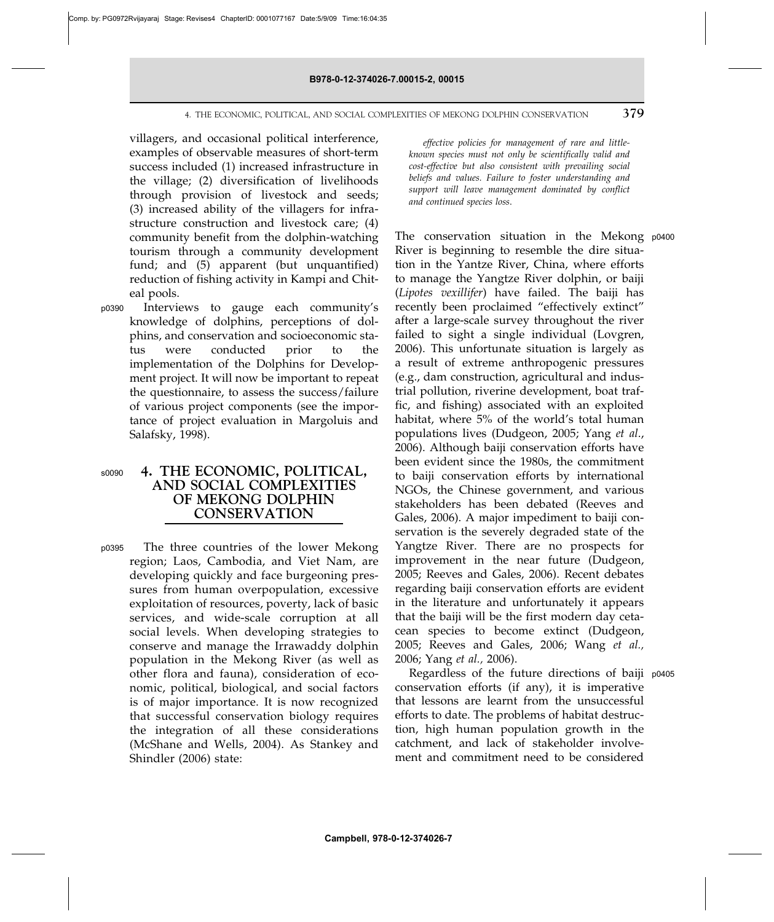4. THE ECONOMIC, POLITICAL, AND SOCIAL COMPLEXITIES OF MEKONG DOLPHIN CONSERVATION  $379$ 

villagers, and occasional political interference, examples of observable measures of short-term success included (1) increased infrastructure in the village; (2) diversification of livelihoods through provision of livestock and seeds; (3) increased ability of the villagers for infrastructure construction and livestock care; (4) community benefit from the dolphin-watching tourism through a community development fund; and (5) apparent (but unquantified) reduction of fishing activity in Kampi and Chiteal pools.

p0390 Interviews to gauge each community's knowledge of dolphins, perceptions of dolphins, and conservation and socioeconomic status were conducted prior to the implementation of the Dolphins for Development project. It will now be important to repeat the questionnaire, to assess the success/failure of various project components (see the importance of project evaluation in Margoluis and Salafsky, 1998).

# s0090 4. THE ECONOMIC, POLITICAL, AND SOCIAL COMPLEXITIES OF MEKONG DOLPHIN CONSERVATION

p0395 The three countries of the lower Mekong region; Laos, Cambodia, and Viet Nam, are developing quickly and face burgeoning pressures from human overpopulation, excessive exploitation of resources, poverty, lack of basic services, and wide-scale corruption at all social levels. When developing strategies to conserve and manage the Irrawaddy dolphin population in the Mekong River (as well as other flora and fauna), consideration of economic, political, biological, and social factors is of major importance. It is now recognized that successful conservation biology requires the integration of all these considerations (McShane and Wells, 2004). As Stankey and Shindler (2006) state:

effective policies for management of rare and littleknown species must not only be scientifically valid and cost-effective but also consistent with prevailing social beliefs and values. Failure to foster understanding and support will leave management dominated by conflict and continued species loss.

The conservation situation in the Mekong p0400 River is beginning to resemble the dire situation in the Yantze River, China, where efforts to manage the Yangtze River dolphin, or baiji (Lipotes vexillifer) have failed. The baiji has recently been proclaimed "effectively extinct" after a large-scale survey throughout the river failed to sight a single individual (Lovgren, 2006). This unfortunate situation is largely as a result of extreme anthropogenic pressures (e.g., dam construction, agricultural and industrial pollution, riverine development, boat traffic, and fishing) associated with an exploited habitat, where 5% of the world's total human populations lives (Dudgeon, 2005; Yang et al., 2006). Although baiji conservation efforts have been evident since the 1980s, the commitment to baiji conservation efforts by international NGOs, the Chinese government, and various stakeholders has been debated (Reeves and Gales, 2006). A major impediment to baiji conservation is the severely degraded state of the Yangtze River. There are no prospects for improvement in the near future (Dudgeon, 2005; Reeves and Gales, 2006). Recent debates regarding baiji conservation efforts are evident in the literature and unfortunately it appears that the baiji will be the first modern day cetacean species to become extinct (Dudgeon, 2005; Reeves and Gales, 2006; Wang et al., 2006; Yang et al., 2006).

Regardless of the future directions of baiji p0405 conservation efforts (if any), it is imperative that lessons are learnt from the unsuccessful efforts to date. The problems of habitat destruction, high human population growth in the catchment, and lack of stakeholder involvement and commitment need to be considered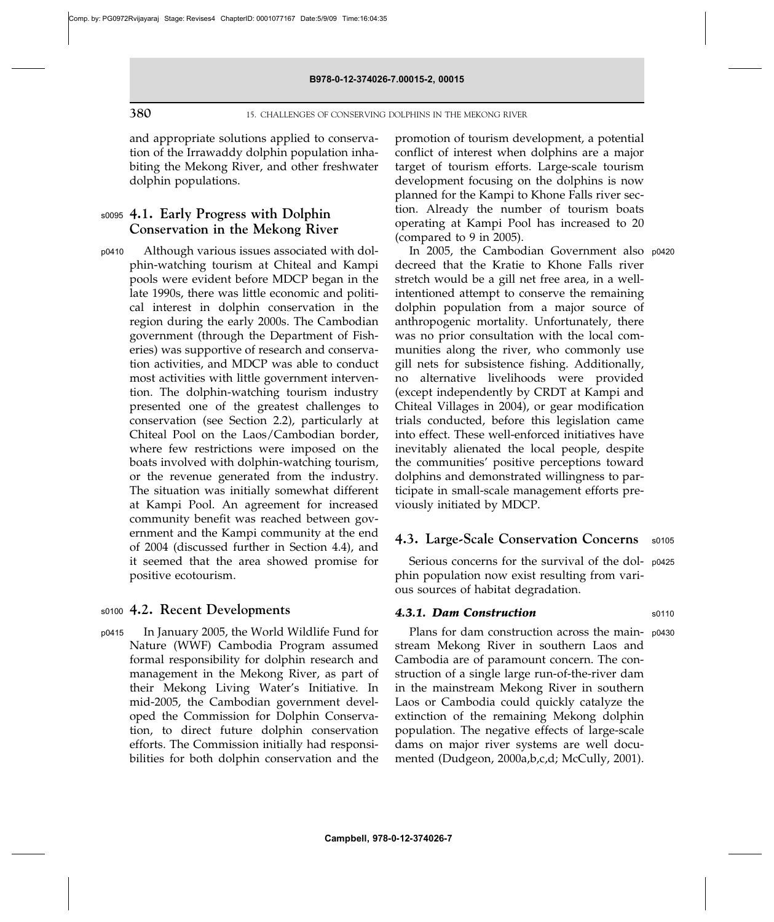#### 380 15. CHALLENGES OF CONSERVING DOLPHINS IN THE MEKONG RIVER

and appropriate solutions applied to conservation of the Irrawaddy dolphin population inhabiting the Mekong River, and other freshwater dolphin populations.

# s0095 4.1. Early Progress with Dolphin Conservation in the Mekong River

p0410 Although various issues associated with dolphin-watching tourism at Chiteal and Kampi pools were evident before MDCP began in the late 1990s, there was little economic and political interest in dolphin conservation in the region during the early 2000s. The Cambodian government (through the Department of Fisheries) was supportive of research and conservation activities, and MDCP was able to conduct most activities with little government intervention. The dolphin-watching tourism industry presented one of the greatest challenges to conservation (see Section 2.2), particularly at Chiteal Pool on the Laos/Cambodian border, where few restrictions were imposed on the boats involved with dolphin-watching tourism, or the revenue generated from the industry. The situation was initially somewhat different at Kampi Pool. An agreement for increased community benefit was reached between government and the Kampi community at the end of 2004 (discussed further in Section 4.4), and it seemed that the area showed promise for positive ecotourism.

#### s0100 4.2. Recent Developments

p0415 In January 2005, the World Wildlife Fund for Nature (WWF) Cambodia Program assumed formal responsibility for dolphin research and management in the Mekong River, as part of their Mekong Living Water's Initiative. In mid-2005, the Cambodian government developed the Commission for Dolphin Conservation, to direct future dolphin conservation efforts. The Commission initially had responsibilities for both dolphin conservation and the promotion of tourism development, a potential conflict of interest when dolphins are a major target of tourism efforts. Large-scale tourism development focusing on the dolphins is now planned for the Kampi to Khone Falls river section. Already the number of tourism boats operating at Kampi Pool has increased to 20 (compared to 9 in 2005).

In 2005, the Cambodian Government also p0420 decreed that the Kratie to Khone Falls river stretch would be a gill net free area, in a wellintentioned attempt to conserve the remaining dolphin population from a major source of anthropogenic mortality. Unfortunately, there was no prior consultation with the local communities along the river, who commonly use gill nets for subsistence fishing. Additionally, no alternative livelihoods were provided (except independently by CRDT at Kampi and Chiteal Villages in 2004), or gear modification trials conducted, before this legislation came into effect. These well-enforced initiatives have inevitably alienated the local people, despite the communities' positive perceptions toward dolphins and demonstrated willingness to participate in small-scale management efforts previously initiated by MDCP.

### 4.3. Large-Scale Conservation Concerns s0105

Serious concerns for the survival of the dol- p0425 phin population now exist resulting from various sources of habitat degradation.

### **4.3.1. Dam Construction** s0110

Plans for dam construction across the main- p0430 stream Mekong River in southern Laos and Cambodia are of paramount concern. The construction of a single large run-of-the-river dam in the mainstream Mekong River in southern Laos or Cambodia could quickly catalyze the extinction of the remaining Mekong dolphin population. The negative effects of large-scale dams on major river systems are well documented (Dudgeon, 2000a,b,c,d; McCully, 2001).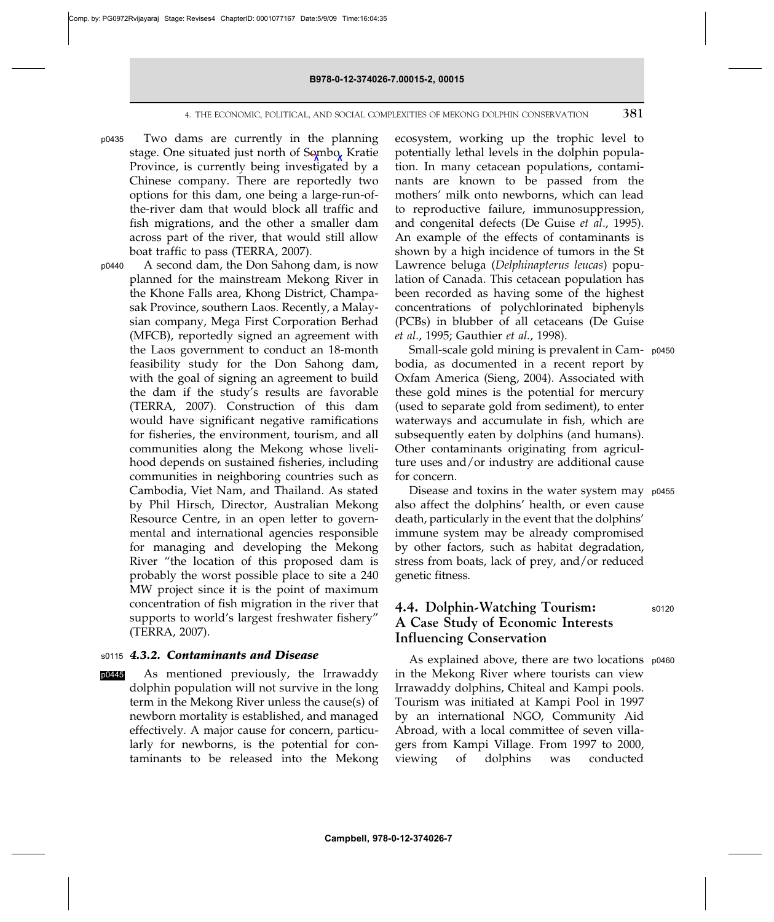- p0435 Two dams are currently in the planning stage. One situated just north of Sombo, Kratie Province, is currently being investigated by a Chinese company. There are reportedly two options for this dam, one being a large-run-ofthe-river dam that would block all traffic and fish migrations, and the other a smaller dam across part of the river, that would still allow boat traffic to pass (TERRA, 2007).
- p0440 A second dam, the Don Sahong dam, is now planned for the mainstream Mekong River in the Khone Falls area, Khong District, Champasak Province, southern Laos. Recently, a Malaysian company, Mega First Corporation Berhad (MFCB), reportedly signed an agreement with the Laos government to conduct an 18-month feasibility study for the Don Sahong dam, with the goal of signing an agreement to build the dam if the study's results are favorable (TERRA, 2007). Construction of this dam would have significant negative ramifications for fisheries, the environment, tourism, and all communities along the Mekong whose livelihood depends on sustained fisheries, including communities in neighboring countries such as Cambodia, Viet Nam, and Thailand. As stated by Phil Hirsch, Director, Australian Mekong Resource Centre, in an open letter to governmental and international agencies responsible for managing and developing the Mekong River "the location of this proposed dam is probably the worst possible place to site a 240 MW project since it is the point of maximum concentration of fish migration in the river that supports to world's largest freshwater fishery" (TERRA, 2007).

#### s0115 **4.3.2. Contaminants and Disease**

p0445 As mentioned previously, the Irrawaddy dolphin population will not survive in the long term in the Mekong River unless the cause(s) of newborn mortality is established, and managed effectively. A major cause for concern, particularly for newborns, is the potential for contaminants to be released into the Mekong ecosystem, working up the trophic level to potentially lethal levels in the dolphin population. In many cetacean populations, contaminants are known to be passed from the mothers' milk onto newborns, which can lead to reproductive failure, immunosuppression, and congenital defects (De Guise et al., 1995). An example of the effects of contaminants is shown by a high incidence of tumors in the St Lawrence beluga (Delphinapterus leucas) population of Canada. This cetacean population has been recorded as having some of the highest concentrations of polychlorinated biphenyls (PCBs) in blubber of all cetaceans (De Guise et al., 1995; Gauthier et al., 1998).

Small-scale gold mining is prevalent in Cam- p0450 bodia, as documented in a recent report by Oxfam America (Sieng, 2004). Associated with these gold mines is the potential for mercury (used to separate gold from sediment), to enter waterways and accumulate in fish, which are subsequently eaten by dolphins (and humans). Other contaminants originating from agriculture uses and/or industry are additional cause for concern.

Disease and toxins in the water system may p0455 also affect the dolphins' health, or even cause death, particularly in the event that the dolphins' immune system may be already compromised by other factors, such as habitat degradation, stress from boats, lack of prey, and/or reduced genetic fitness.

# **4.4. Dolphin-Watching Tourism:** s0120 A Case Study of Economic Interests Influencing Conservation

As explained above, there are two locations p0460 in the Mekong River where tourists can view Irrawaddy dolphins, Chiteal and Kampi pools. Tourism was initiated at Kampi Pool in 1997 by an international NGO, Community Aid Abroad, with a local committee of seven villagers from Kampi Village. From 1997 to 2000, viewing of dolphins was conducted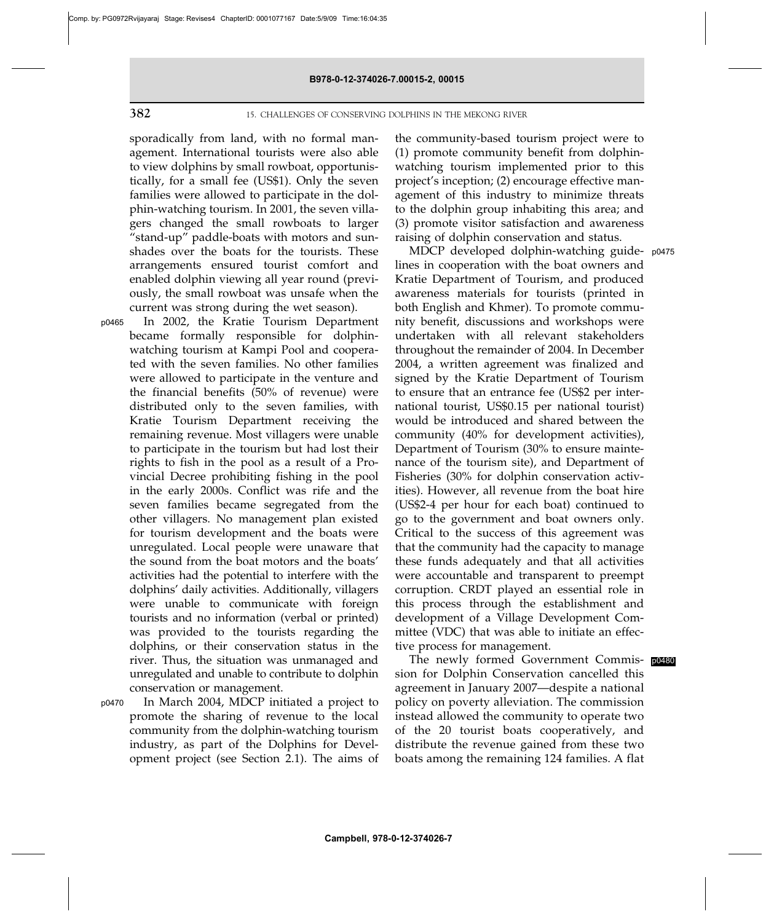#### 382 15. CHALLENGES OF CONSERVING DOLPHINS IN THE MEKONG RIVER

sporadically from land, with no formal management. International tourists were also able to view dolphins by small rowboat, opportunistically, for a small fee (US\$1). Only the seven families were allowed to participate in the dolphin-watching tourism. In 2001, the seven villagers changed the small rowboats to larger "stand-up" paddle-boats with motors and sunshades over the boats for the tourists. These arrangements ensured tourist comfort and enabled dolphin viewing all year round (previously, the small rowboat was unsafe when the current was strong during the wet season).

- p0465 In 2002, the Kratie Tourism Department became formally responsible for dolphinwatching tourism at Kampi Pool and cooperated with the seven families. No other families were allowed to participate in the venture and the financial benefits (50% of revenue) were distributed only to the seven families, with Kratie Tourism Department receiving the remaining revenue. Most villagers were unable to participate in the tourism but had lost their rights to fish in the pool as a result of a Provincial Decree prohibiting fishing in the pool in the early 2000s. Conflict was rife and the seven families became segregated from the other villagers. No management plan existed for tourism development and the boats were unregulated. Local people were unaware that the sound from the boat motors and the boats' activities had the potential to interfere with the dolphins' daily activities. Additionally, villagers were unable to communicate with foreign tourists and no information (verbal or printed) was provided to the tourists regarding the dolphins, or their conservation status in the river. Thus, the situation was unmanaged and unregulated and unable to contribute to dolphin conservation or management.
- p0470 In March 2004, MDCP initiated a project to promote the sharing of revenue to the local community from the dolphin-watching tourism industry, as part of the Dolphins for Development project (see Section 2.1). The aims of

the community-based tourism project were to (1) promote community benefit from dolphinwatching tourism implemented prior to this project's inception; (2) encourage effective management of this industry to minimize threats to the dolphin group inhabiting this area; and (3) promote visitor satisfaction and awareness raising of dolphin conservation and status.

MDCP developed dolphin-watching guide- p0475 lines in cooperation with the boat owners and Kratie Department of Tourism, and produced awareness materials for tourists (printed in both English and Khmer). To promote community benefit, discussions and workshops were undertaken with all relevant stakeholders throughout the remainder of 2004. In December 2004, a written agreement was finalized and signed by the Kratie Department of Tourism to ensure that an entrance fee (US\$2 per international tourist, US\$0.15 per national tourist) would be introduced and shared between the community (40% for development activities), Department of Tourism (30% to ensure maintenance of the tourism site), and Department of Fisheries (30% for dolphin conservation activities). However, all revenue from the boat hire (US\$2-4 per hour for each boat) continued to go to the government and boat owners only. Critical to the success of this agreement was that the community had the capacity to manage these funds adequately and that all activities were accountable and transparent to preempt corruption. CRDT played an essential role in this process through the establishment and development of a Village Development Committee (VDC) that was able to initiate an effective process for management.

The newly formed Government Commis- p0480 sion for Dolphin Conservation cancelled this agreement in January 2007—despite a national policy on poverty alleviation. The commission instead allowed the community to operate two of the 20 tourist boats cooperatively, and distribute the revenue gained from these two boats among the remaining 124 families. A flat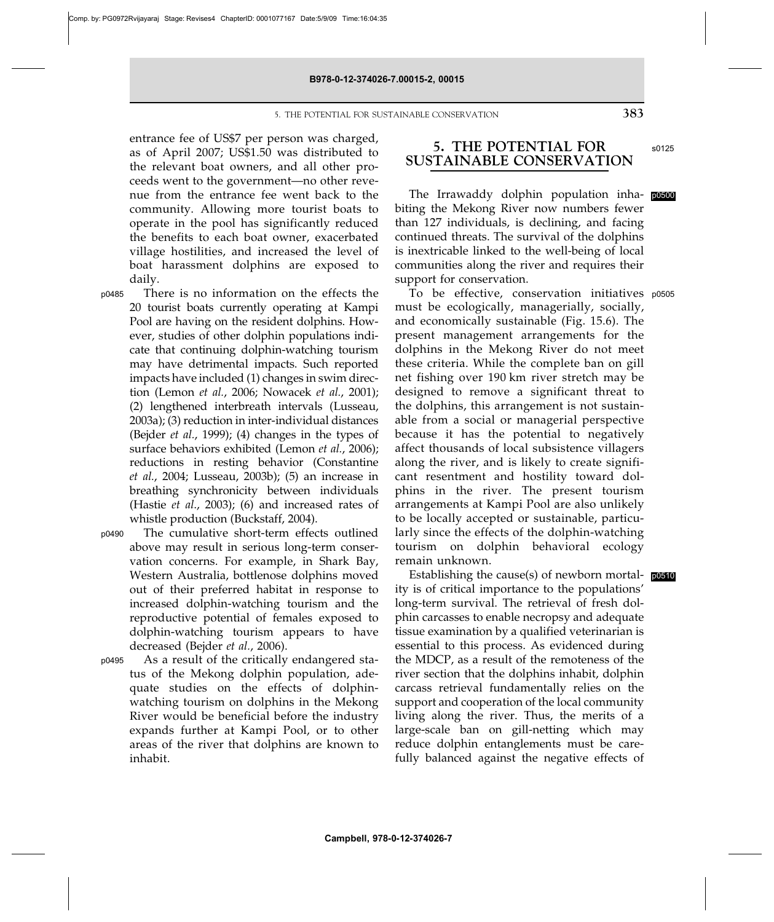5. THE POTENTIAL FOR SUSTAINABLE CONSERVATION 383

entrance fee of US\$7 per person was charged, as of April 2007; US\$1.50 was distributed to the relevant boat owners, and all other proceeds went to the government—no other revenue from the entrance fee went back to the community. Allowing more tourist boats to operate in the pool has significantly reduced the benefits to each boat owner, exacerbated village hostilities, and increased the level of boat harassment dolphins are exposed to daily.

- p0485 There is no information on the effects the 20 tourist boats currently operating at Kampi Pool are having on the resident dolphins. However, studies of other dolphin populations indicate that continuing dolphin-watching tourism may have detrimental impacts. Such reported impacts have included (1) changes in swim direction (Lemon et al., 2006; Nowacek et al., 2001); (2) lengthened interbreath intervals (Lusseau, 2003a); (3) reduction in inter-individual distances (Bejder et al., 1999); (4) changes in the types of surface behaviors exhibited (Lemon et al., 2006); reductions in resting behavior (Constantine et al., 2004; Lusseau, 2003b); (5) an increase in breathing synchronicity between individuals (Hastie et al., 2003); (6) and increased rates of whistle production (Buckstaff, 2004).
- p0490 The cumulative short-term effects outlined above may result in serious long-term conservation concerns. For example, in Shark Bay, Western Australia, bottlenose dolphins moved out of their preferred habitat in response to increased dolphin-watching tourism and the reproductive potential of females exposed to dolphin-watching tourism appears to have decreased (Bejder et al., 2006).
- p0495 As a result of the critically endangered status of the Mekong dolphin population, adequate studies on the effects of dolphinwatching tourism on dolphins in the Mekong River would be beneficial before the industry expands further at Kampi Pool, or to other areas of the river that dolphins are known to inhabit.

# 5. THE POTENTIAL FOR s0125 SUSTAINABLE CONSERVATION

The Irrawaddy dolphin population inhabiting the Mekong River now numbers fewer than 127 individuals, is declining, and facing continued threats. The survival of the dolphins is inextricable linked to the well-being of local communities along the river and requires their support for conservation.

To be effective, conservation initiatives p0505 must be ecologically, managerially, socially, and economically sustainable (Fig. 15.6). The present management arrangements for the dolphins in the Mekong River do not meet these criteria. While the complete ban on gill net fishing over 190 km river stretch may be designed to remove a significant threat to the dolphins, this arrangement is not sustainable from a social or managerial perspective because it has the potential to negatively affect thousands of local subsistence villagers along the river, and is likely to create significant resentment and hostility toward dolphins in the river. The present tourism arrangements at Kampi Pool are also unlikely to be locally accepted or sustainable, particularly since the effects of the dolphin-watching tourism on dolphin behavioral ecology remain unknown.

Establishing the cause(s) of newborn mortal- $\frac{1}{20510}$ ity is of critical importance to the populations' long-term survival. The retrieval of fresh dolphin carcasses to enable necropsy and adequate tissue examination by a qualified veterinarian is essential to this process. As evidenced during the MDCP, as a result of the remoteness of the river section that the dolphins inhabit, dolphin carcass retrieval fundamentally relies on the support and cooperation of the local community living along the river. Thus, the merits of a large-scale ban on gill-netting which may reduce dolphin entanglements must be carefully balanced against the negative effects of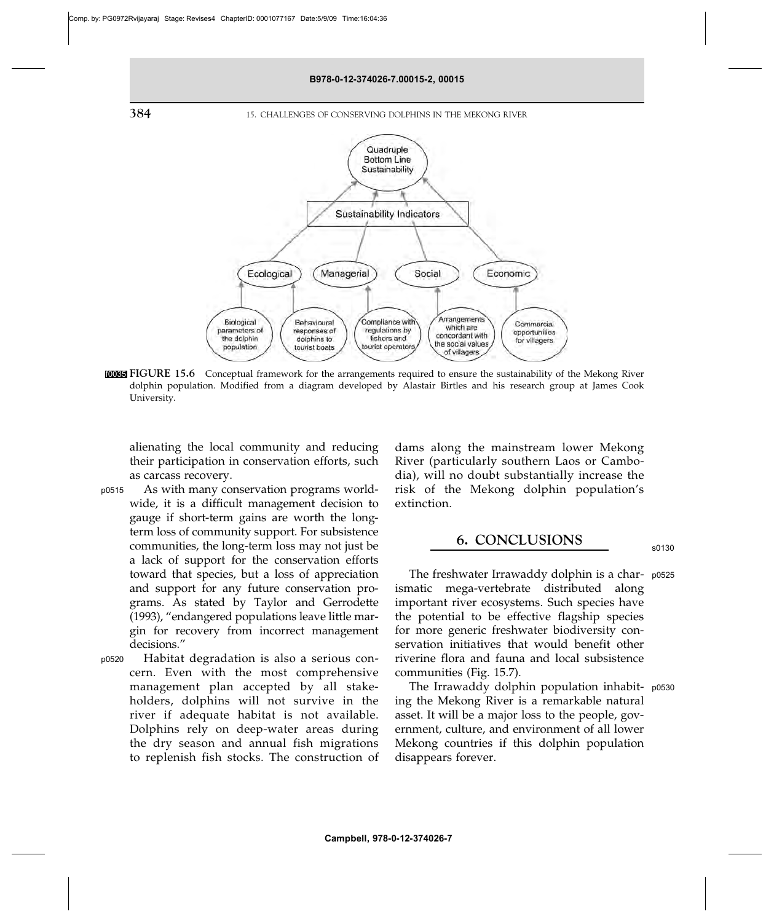

#### 384 15. CHALLENGES OF CONSERVING DOLPHINS IN THE MEKONG RIVER



f0035 FIGURE 15.6 Conceptual framework for the arrangements required to ensure the sustainability of the Mekong River dolphin population. Modified from a diagram developed by Alastair Birtles and his research group at James Cook University.

alienating the local community and reducing their participation in conservation efforts, such as carcass recovery.

p0515 As with many conservation programs worldwide, it is a difficult management decision to gauge if short-term gains are worth the longterm loss of community support. For subsistence communities, the long-term loss may not just be a lack of support for the conservation efforts toward that species, but a loss of appreciation and support for any future conservation programs. As stated by Taylor and Gerrodette (1993), "endangered populations leave little margin for recovery from incorrect management decisions."

p0520 Habitat degradation is also a serious concern. Even with the most comprehensive management plan accepted by all stakeholders, dolphins will not survive in the river if adequate habitat is not available. Dolphins rely on deep-water areas during the dry season and annual fish migrations to replenish fish stocks. The construction of dams along the mainstream lower Mekong River (particularly southern Laos or Cambodia), will no doubt substantially increase the risk of the Mekong dolphin population's extinction.

# 6. CONCLUSIONS s0130

The freshwater Irrawaddy dolphin is a char- p0525 ismatic mega-vertebrate distributed along important river ecosystems. Such species have the potential to be effective flagship species for more generic freshwater biodiversity conservation initiatives that would benefit other riverine flora and fauna and local subsistence communities (Fig. 15.7).

The Irrawaddy dolphin population inhabit- p0530 ing the Mekong River is a remarkable natural asset. It will be a major loss to the people, government, culture, and environment of all lower Mekong countries if this dolphin population disappears forever.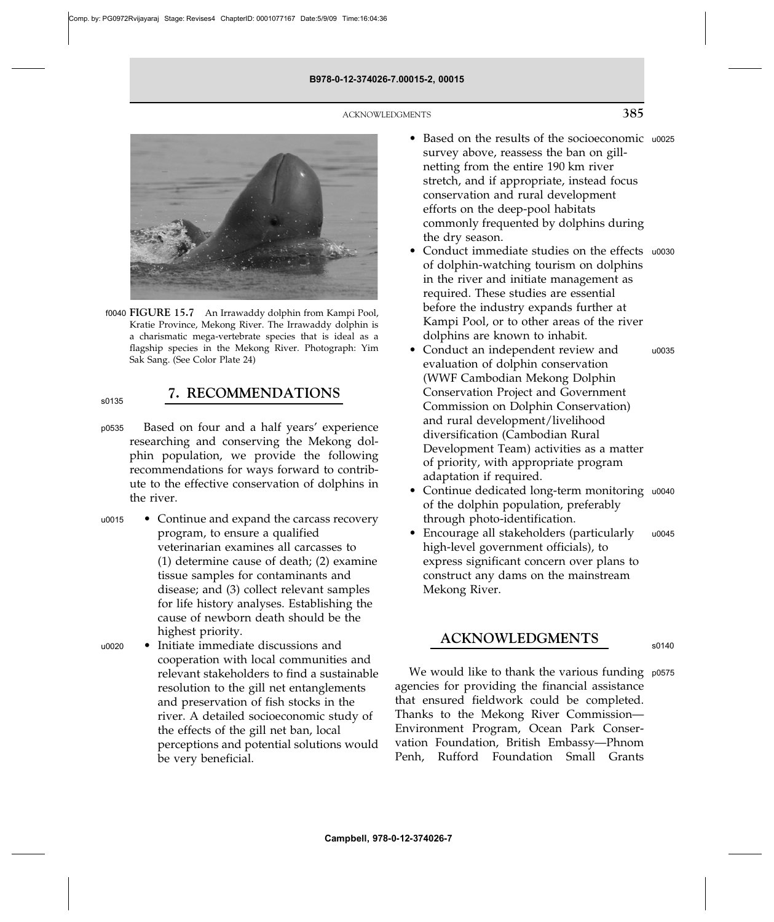### ACKNOWLEDGMENTS 385



f0040 FIGURE 15.7 An Irrawaddy dolphin from Kampi Pool, Kratie Province, Mekong River. The Irrawaddy dolphin is a charismatic mega-vertebrate species that is ideal as a flagship species in the Mekong River. Photograph: Yim Sak Sang. (See Color Plate 24)

# $_{\rm s0135}$  7. RECOMMENDATIONS

- p0535 Based on four and a half years' experience researching and conserving the Mekong dolphin population, we provide the following recommendations for ways forward to contribute to the effective conservation of dolphins in the river.
- u0015 Continue and expand the carcass recovery program, to ensure a qualified veterinarian examines all carcasses to (1) determine cause of death; (2) examine tissue samples for contaminants and disease; and (3) collect relevant samples for life history analyses. Establishing the cause of newborn death should be the highest priority.
- u0020 Initiate immediate discussions and cooperation with local communities and relevant stakeholders to find a sustainable resolution to the gill net entanglements and preservation of fish stocks in the river. A detailed socioeconomic study of the effects of the gill net ban, local perceptions and potential solutions would be very beneficial.
- Based on the results of the socioeconomic u0025 survey above, reassess the ban on gillnetting from the entire 190 km river stretch, and if appropriate, instead focus conservation and rural development efforts on the deep-pool habitats commonly frequented by dolphins during the dry season.
- Conduct immediate studies on the effects u0030 of dolphin-watching tourism on dolphins in the river and initiate management as required. These studies are essential before the industry expands further at Kampi Pool, or to other areas of the river dolphins are known to inhabit.
- Conduct an independent review and u0035 evaluation of dolphin conservation (WWF Cambodian Mekong Dolphin Conservation Project and Government Commission on Dolphin Conservation) and rural development/livelihood diversification (Cambodian Rural Development Team) activities as a matter of priority, with appropriate program adaptation if required.
- Continue dedicated long-term monitoring u0040 of the dolphin population, preferably through photo-identification.
- Encourage all stakeholders (particularly u0045 high-level government officials), to express significant concern over plans to construct any dams on the mainstream Mekong River.

# ACKNOWLEDGMENTS

We would like to thank the various funding <sub>p0575</sub> agencies for providing the financial assistance that ensured fieldwork could be completed. Thanks to the Mekong River Commission— Environment Program, Ocean Park Conservation Foundation, British Embassy—Phnom Penh, Rufford Foundation Small Grants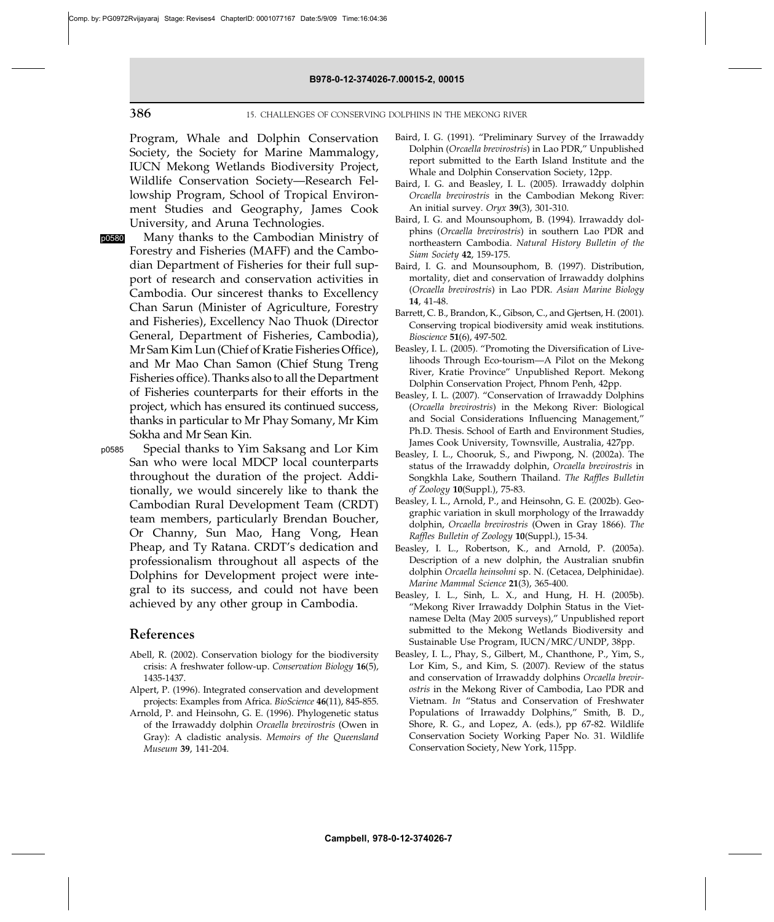#### $386$  15. CHALLENGES OF CONSERVING DOLPHINS IN THE MEKONG RIVER

Program, Whale and Dolphin Conservation Society, the Society for Marine Mammalogy, IUCN Mekong Wetlands Biodiversity Project, Wildlife Conservation Society—Research Fellowship Program, School of Tropical Environment Studies and Geography, James Cook University, and Aruna Technologies.

- p0580 Many thanks to the Cambodian Ministry of Forestry and Fisheries (MAFF) and the Cambodian Department of Fisheries for their full support of research and conservation activities in Cambodia. Our sincerest thanks to Excellency Chan Sarun (Minister of Agriculture, Forestry and Fisheries), Excellency Nao Thuok (Director General, Department of Fisheries, Cambodia), Mr Sam Kim Lun (Chief of Kratie Fisheries Office), and Mr Mao Chan Samon (Chief Stung Treng Fisheries office). Thanks also to all the Department of Fisheries counterparts for their efforts in the project, which has ensured its continued success, thanks in particular to Mr Phay Somany, Mr Kim Sokha and Mr Sean Kin.
- p0585 Special thanks to Yim Saksang and Lor Kim San who were local MDCP local counterparts throughout the duration of the project. Additionally, we would sincerely like to thank the Cambodian Rural Development Team (CRDT) team members, particularly Brendan Boucher, Or Channy, Sun Mao, Hang Vong, Hean Pheap, and Ty Ratana. CRDT's dedication and professionalism throughout all aspects of the Dolphins for Development project were integral to its success, and could not have been achieved by any other group in Cambodia.

#### References

- Abell, R. (2002). Conservation biology for the biodiversity crisis: A freshwater follow-up. Conservation Biology 16(5), 1435-1437.
- Alpert, P. (1996). Integrated conservation and development projects: Examples from Africa. BioScience 46(11), 845-855.
- Arnold, P. and Heinsohn, G. E. (1996). Phylogenetic status of the Irrawaddy dolphin Orcaella brevirostris (Owen in Gray): A cladistic analysis. Memoirs of the Queensland Museum 39, 141-204.
- Baird, I. G. (1991). "Preliminary Survey of the Irrawaddy Dolphin (Orcaella brevirostris) in Lao PDR," Unpublished report submitted to the Earth Island Institute and the Whale and Dolphin Conservation Society, 12pp.
- Baird, I. G. and Beasley, I. L. (2005). Irrawaddy dolphin Orcaella brevirostris in the Cambodian Mekong River: An initial survey. Oryx 39(3), 301-310.
- Baird, I. G. and Mounsouphom, B. (1994). Irrawaddy dolphins (Orcaella brevirostris) in southern Lao PDR and northeastern Cambodia. Natural History Bulletin of the Siam Society 42, 159-175.
- Baird, I. G. and Mounsouphom, B. (1997). Distribution, mortality, diet and conservation of Irrawaddy dolphins (Orcaella brevirostris) in Lao PDR. Asian Marine Biology 14, 41-48.
- Barrett, C. B., Brandon, K., Gibson, C., and Gjertsen, H. (2001). Conserving tropical biodiversity amid weak institutions. Bioscience 51(6), 497-502.
- Beasley, I. L. (2005). "Promoting the Diversification of Livelihoods Through Eco-tourism—A Pilot on the Mekong River, Kratie Province" Unpublished Report. Mekong Dolphin Conservation Project, Phnom Penh, 42pp.
- Beasley, I. L. (2007). "Conservation of Irrawaddy Dolphins (Orcaella brevirostris) in the Mekong River: Biological and Social Considerations Influencing Management," Ph.D. Thesis. School of Earth and Environment Studies, James Cook University, Townsville, Australia, 427pp.
- Beasley, I. L., Chooruk, S., and Piwpong, N. (2002a). The status of the Irrawaddy dolphin, Orcaella brevirostris in Songkhla Lake, Southern Thailand. The Raffles Bulletin of Zoology 10(Suppl.), 75-83.
- Beasley, I. L., Arnold, P., and Heinsohn, G. E. (2002b). Geographic variation in skull morphology of the Irrawaddy dolphin, Orcaella brevirostris (Owen in Gray 1866). The Raffles Bulletin of Zoology 10(Suppl.), 15-34.
- Beasley, I. L., Robertson, K., and Arnold, P. (2005a). Description of a new dolphin, the Australian snubfin dolphin Orcaella heinsohni sp. N. (Cetacea, Delphinidae). Marine Mammal Science 21(3), 365-400.
- Beasley, I. L., Sinh, L. X., and Hung, H. H. (2005b). "Mekong River Irrawaddy Dolphin Status in the Vietnamese Delta (May 2005 surveys)," Unpublished report submitted to the Mekong Wetlands Biodiversity and Sustainable Use Program, IUCN/MRC/UNDP, 38pp.
- Beasley, I. L., Phay, S., Gilbert, M., Chanthone, P., Yim, S., Lor Kim, S., and Kim, S. (2007). Review of the status and conservation of Irrawaddy dolphins Orcaella brevirostris in the Mekong River of Cambodia, Lao PDR and Vietnam. In "Status and Conservation of Freshwater Populations of Irrawaddy Dolphins," Smith, B. D., Shore, R. G., and Lopez, A. (eds.), pp 67-82. Wildlife Conservation Society Working Paper No. 31. Wildlife Conservation Society, New York, 115pp.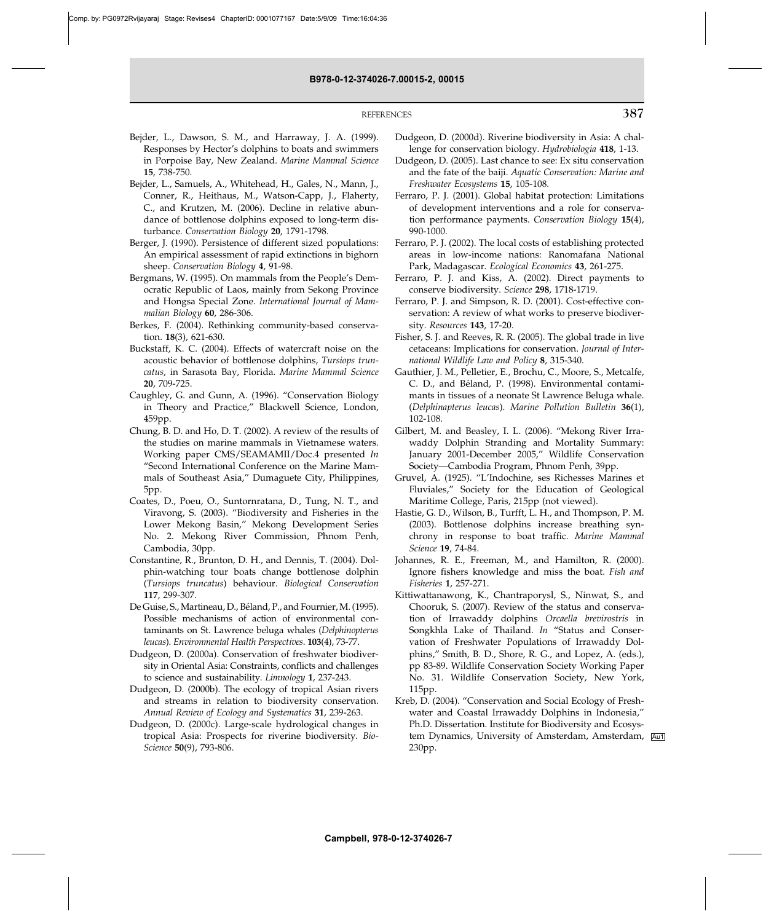### REFERENCES 387

- Bejder, L., Dawson, S. M., and Harraway, J. A. (1999). Responses by Hector's dolphins to boats and swimmers in Porpoise Bay, New Zealand. Marine Mammal Science 15, 738-750.
- Bejder, L., Samuels, A., Whitehead, H., Gales, N., Mann, J., Conner, R., Heithaus, M., Watson-Capp, J., Flaherty, C., and Krutzen, M. (2006). Decline in relative abundance of bottlenose dolphins exposed to long-term disturbance. Conservation Biology 20, 1791-1798.
- Berger, J. (1990). Persistence of different sized populations: An empirical assessment of rapid extinctions in bighorn sheep. Conservation Biology 4, 91-98.
- Bergmans, W. (1995). On mammals from the People's Democratic Republic of Laos, mainly from Sekong Province and Hongsa Special Zone. International Journal of Mammalian Biology 60, 286-306.
- Berkes, F. (2004). Rethinking community-based conservation. 18(3), 621-630.
- Buckstaff, K. C. (2004). Effects of watercraft noise on the acoustic behavior of bottlenose dolphins, Tursiops truncatus, in Sarasota Bay, Florida. Marine Mammal Science 20, 709-725.
- Caughley, G. and Gunn, A. (1996). "Conservation Biology in Theory and Practice," Blackwell Science, London, 459pp.
- Chung, B. D. and Ho, D. T. (2002). A review of the results of the studies on marine mammals in Vietnamese waters. Working paper CMS/SEAMAMII/Doc.4 presented In "Second International Conference on the Marine Mammals of Southeast Asia," Dumaguete City, Philippines, 5pp.
- Coates, D., Poeu, O., Suntornratana, D., Tung, N. T., and Viravong, S. (2003). "Biodiversity and Fisheries in the Lower Mekong Basin," Mekong Development Series No. 2. Mekong River Commission, Phnom Penh, Cambodia, 30pp.
- Constantine, R., Brunton, D. H., and Dennis, T. (2004). Dolphin-watching tour boats change bottlenose dolphin (Tursiops truncatus) behaviour. Biological Conservation 117, 299-307.
- De Guise, S., Martineau, D., Béland, P., and Fournier, M. (1995). Possible mechanisms of action of environmental contaminants on St. Lawrence beluga whales (Delphinopterus leucas). Environmental Health Perspectives. 103(4), 73-77.
- Dudgeon, D. (2000a). Conservation of freshwater biodiversity in Oriental Asia: Constraints, conflicts and challenges to science and sustainability. Limnology 1, 237-243.
- Dudgeon, D. (2000b). The ecology of tropical Asian rivers and streams in relation to biodiversity conservation. Annual Review of Ecology and Systematics 31, 239-263.
- Dudgeon, D. (2000c). Large-scale hydrological changes in tropical Asia: Prospects for riverine biodiversity. Bio-Science 50(9), 793-806.
- Dudgeon, D. (2000d). Riverine biodiversity in Asia: A challenge for conservation biology. Hydrobiologia 418, 1-13.
- Dudgeon, D. (2005). Last chance to see: Ex situ conservation and the fate of the baiji. Aquatic Conservation: Marine and Freshwater Ecosystems 15, 105-108.
- Ferraro, P. J. (2001). Global habitat protection: Limitations of development interventions and a role for conservation performance payments. Conservation Biology 15(4), 990-1000.
- Ferraro, P. J. (2002). The local costs of establishing protected areas in low-income nations: Ranomafana National Park, Madagascar. Ecological Economics 43, 261-275.
- Ferraro, P. J. and Kiss, A. (2002). Direct payments to conserve biodiversity. Science 298, 1718-1719.
- Ferraro, P. J. and Simpson, R. D. (2001). Cost-effective conservation: A review of what works to preserve biodiversity. Resources 143, 17-20.
- Fisher, S. J. and Reeves, R. R. (2005). The global trade in live cetaceans: Implications for conservation. Journal of International Wildlife Law and Policy 8, 315-340.
- Gauthier, J. M., Pelletier, E., Brochu, C., Moore, S., Metcalfe, C. D., and Béland, P. (1998). Environmental contamimants in tissues of a neonate St Lawrence Beluga whale. (Delphinapterus leucas). Marine Pollution Bulletin 36(1), 102-108.
- Gilbert, M. and Beasley, I. L. (2006). "Mekong River Irrawaddy Dolphin Stranding and Mortality Summary: January 2001-December 2005," Wildlife Conservation Society—Cambodia Program, Phnom Penh, 39pp.
- Gruvel, A. (1925). "L'Indochine, ses Richesses Marines et Fluviales," Society for the Education of Geological Maritime College, Paris, 215pp (not viewed).
- Hastie, G. D., Wilson, B., Turfft, L. H., and Thompson, P. M. (2003). Bottlenose dolphins increase breathing synchrony in response to boat traffic. Marine Mammal Science 19, 74-84.
- Johannes, R. E., Freeman, M., and Hamilton, R. (2000). Ignore fishers knowledge and miss the boat. Fish and Fisheries 1, 257-271.
- Kittiwattanawong, K., Chantraporysl, S., Ninwat, S., and Chooruk, S. (2007). Review of the status and conservation of Irrawaddy dolphins Orcaella brevirostris in Songkhla Lake of Thailand. In "Status and Conservation of Freshwater Populations of Irrawaddy Dolphins," Smith, B. D., Shore, R. G., and Lopez, A. (eds.), pp 83-89. Wildlife Conservation Society Working Paper No. 31. Wildlife Conservation Society, New York, 115pp.
- Kreb, D. (2004). "Conservation and Social Ecology of Freshwater and Coastal Irrawaddy Dolphins in Indonesia," Ph.D. Dissertation. Institute for Biodiversity and Ecosystem Dynamics, University of Amsterdam, Amsterdam, Au1 230pp.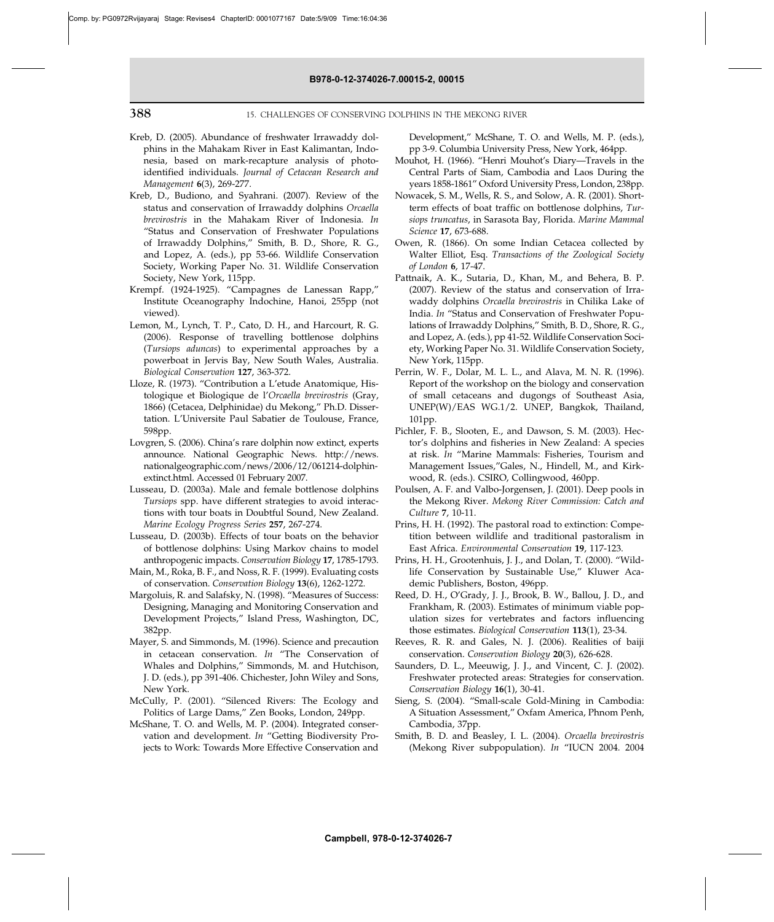#### **388** 15. CHALLENGES OF CONSERVING DOLPHINS IN THE MEKONG RIVER

- Kreb, D. (2005). Abundance of freshwater Irrawaddy dolphins in the Mahakam River in East Kalimantan, Indonesia, based on mark-recapture analysis of photoidentified individuals. Journal of Cetacean Research and Management 6(3), 269-277.
- Kreb, D., Budiono, and Syahrani. (2007). Review of the status and conservation of Irrawaddy dolphins Orcaella brevirostris in the Mahakam River of Indonesia. In "Status and Conservation of Freshwater Populations of Irrawaddy Dolphins," Smith, B. D., Shore, R. G., and Lopez, A. (eds.), pp 53-66. Wildlife Conservation Society, Working Paper No. 31. Wildlife Conservation Society, New York, 115pp.
- Krempf. (1924-1925). "Campagnes de Lanessan Rapp," Institute Oceanography Indochine, Hanoi, 255pp (not viewed).
- Lemon, M., Lynch, T. P., Cato, D. H., and Harcourt, R. G. (2006). Response of travelling bottlenose dolphins (Tursiops aduncas) to experimental approaches by a powerboat in Jervis Bay, New South Wales, Australia. Biological Conservation 127, 363-372.
- Lloze, R. (1973). "Contribution a L'etude Anatomique, Histologique et Biologique de l'Orcaella brevirostris (Gray, 1866) (Cetacea, Delphinidae) du Mekong," Ph.D. Dissertation. L'Universite Paul Sabatier de Toulouse, France, 598pp.
- Lovgren, S. (2006). China's rare dolphin now extinct, experts announce. National Geographic News. http://news. nationalgeographic.com/news/2006/12/061214-dolphinextinct.html. Accessed 01 February 2007.
- Lusseau, D. (2003a). Male and female bottlenose dolphins Tursiops spp. have different strategies to avoid interactions with tour boats in Doubtful Sound, New Zealand. Marine Ecology Progress Series 257, 267-274.
- Lusseau, D. (2003b). Effects of tour boats on the behavior of bottlenose dolphins: Using Markov chains to model anthropogenic impacts. Conservation Biology 17, 1785-1793.
- Main, M., Roka, B. F., and Noss, R. F. (1999). Evaluating costs of conservation. Conservation Biology 13(6), 1262-1272.
- Margoluis, R. and Salafsky, N. (1998). "Measures of Success: Designing, Managing and Monitoring Conservation and Development Projects," Island Press, Washington, DC, 382pp.
- Mayer, S. and Simmonds, M. (1996). Science and precaution in cetacean conservation. In "The Conservation of Whales and Dolphins," Simmonds, M. and Hutchison, J. D. (eds.), pp 391-406. Chichester, John Wiley and Sons, New York.
- McCully, P. (2001). "Silenced Rivers: The Ecology and Politics of Large Dams," Zen Books, London, 249pp.
- McShane, T. O. and Wells, M. P. (2004). Integrated conservation and development. In "Getting Biodiversity Projects to Work: Towards More Effective Conservation and

Development," McShane, T. O. and Wells, M. P. (eds.), pp 3-9. Columbia University Press, New York, 464pp.

- Mouhot, H. (1966). "Henri Mouhot's Diary—Travels in the Central Parts of Siam, Cambodia and Laos During the years 1858-1861" Oxford University Press, London, 238pp.
- Nowacek, S. M., Wells, R. S., and Solow, A. R. (2001). Shortterm effects of boat traffic on bottlenose dolphins, Tursiops truncatus, in Sarasota Bay, Florida. Marine Mammal Science 17, 673-688.
- Owen, R. (1866). On some Indian Cetacea collected by Walter Elliot, Esq. Transactions of the Zoological Society of London 6, 17-47.
- Pattnaik, A. K., Sutaria, D., Khan, M., and Behera, B. P. (2007). Review of the status and conservation of Irrawaddy dolphins Orcaella brevirostris in Chilika Lake of India. In "Status and Conservation of Freshwater Populations of Irrawaddy Dolphins," Smith, B. D., Shore, R. G., and Lopez, A. (eds.), pp 41-52. Wildlife Conservation Society, Working Paper No. 31. Wildlife Conservation Society, New York, 115pp.
- Perrin, W. F., Dolar, M. L. L., and Alava, M. N. R. (1996). Report of the workshop on the biology and conservation of small cetaceans and dugongs of Southeast Asia, UNEP(W)/EAS WG.1/2. UNEP, Bangkok, Thailand, 101pp.
- Pichler, F. B., Slooten, E., and Dawson, S. M. (2003). Hector's dolphins and fisheries in New Zealand: A species at risk. In "Marine Mammals: Fisheries, Tourism and Management Issues,"Gales, N., Hindell, M., and Kirkwood, R. (eds.). CSIRO, Collingwood, 460pp.
- Poulsen, A. F. and Valbo-Jorgensen, J. (2001). Deep pools in the Mekong River. Mekong River Commission: Catch and Culture 7, 10-11.
- Prins, H. H. (1992). The pastoral road to extinction: Competition between wildlife and traditional pastoralism in East Africa. Environmental Conservation 19, 117-123.
- Prins, H. H., Grootenhuis, J. J., and Dolan, T. (2000). "Wildlife Conservation by Sustainable Use," Kluwer Academic Publishers, Boston, 496pp.
- Reed, D. H., O'Grady, J. J., Brook, B. W., Ballou, J. D., and Frankham, R. (2003). Estimates of minimum viable population sizes for vertebrates and factors influencing those estimates. Biological Conservation 113(1), 23-34.
- Reeves, R. R. and Gales, N. J. (2006). Realities of baiji conservation. Conservation Biology 20(3), 626-628.
- Saunders, D. L., Meeuwig, J. J., and Vincent, C. J. (2002). Freshwater protected areas: Strategies for conservation. Conservation Biology 16(1), 30-41.
- Sieng, S. (2004). "Small-scale Gold-Mining in Cambodia: A Situation Assessment," Oxfam America, Phnom Penh, Cambodia, 37pp.
- Smith, B. D. and Beasley, I. L. (2004). Orcaella brevirostris (Mekong River subpopulation). In "IUCN 2004. 2004